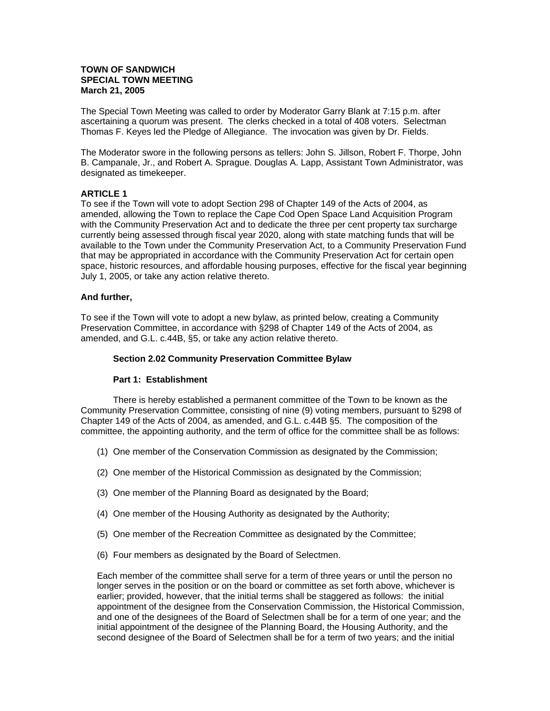### **TOWN OF SANDWICH SPECIAL TOWN MEETING March 21, 2005**

The Special Town Meeting was called to order by Moderator Garry Blank at 7:15 p.m. after ascertaining a quorum was present. The clerks checked in a total of 408 voters. Selectman Thomas F. Keyes led the Pledge of Allegiance. The invocation was given by Dr. Fields.

The Moderator swore in the following persons as tellers: John S. Jillson, Robert F. Thorpe, John B. Campanale, Jr., and Robert A. Sprague. Douglas A. Lapp, Assistant Town Administrator, was designated as timekeeper.

### **ARTICLE 1**

To see if the Town will vote to adopt Section 298 of Chapter 149 of the Acts of 2004, as amended, allowing the Town to replace the Cape Cod Open Space Land Acquisition Program with the Community Preservation Act and to dedicate the three per cent property tax surcharge currently being assessed through fiscal year 2020, along with state matching funds that will be available to the Town under the Community Preservation Act, to a Community Preservation Fund that may be appropriated in accordance with the Community Preservation Act for certain open space, historic resources, and affordable housing purposes, effective for the fiscal year beginning July 1, 2005, or take any action relative thereto.

### **And further,**

To see if the Town will vote to adopt a new bylaw, as printed below, creating a Community Preservation Committee, in accordance with §298 of Chapter 149 of the Acts of 2004, as amended, and G.L. c.44B, §5, or take any action relative thereto.

### **Section 2.02 Community Preservation Committee Bylaw**

### **Part 1: Establishment**

There is hereby established a permanent committee of the Town to be known as the Community Preservation Committee, consisting of nine (9) voting members, pursuant to §298 of Chapter 149 of the Acts of 2004, as amended, and G.L. c.44B §5. The composition of the committee, the appointing authority, and the term of office for the committee shall be as follows:

- (1) One member of the Conservation Commission as designated by the Commission;
- (2) One member of the Historical Commission as designated by the Commission;
- (3) One member of the Planning Board as designated by the Board;
- (4) One member of the Housing Authority as designated by the Authority;
- (5) One member of the Recreation Committee as designated by the Committee;
- (6) Four members as designated by the Board of Selectmen.

Each member of the committee shall serve for a term of three years or until the person no longer serves in the position or on the board or committee as set forth above, whichever is earlier; provided, however, that the initial terms shall be staggered as follows: the initial appointment of the designee from the Conservation Commission, the Historical Commission, and one of the designees of the Board of Selectmen shall be for a term of one year; and the initial appointment of the designee of the Planning Board, the Housing Authority, and the second designee of the Board of Selectmen shall be for a term of two years; and the initial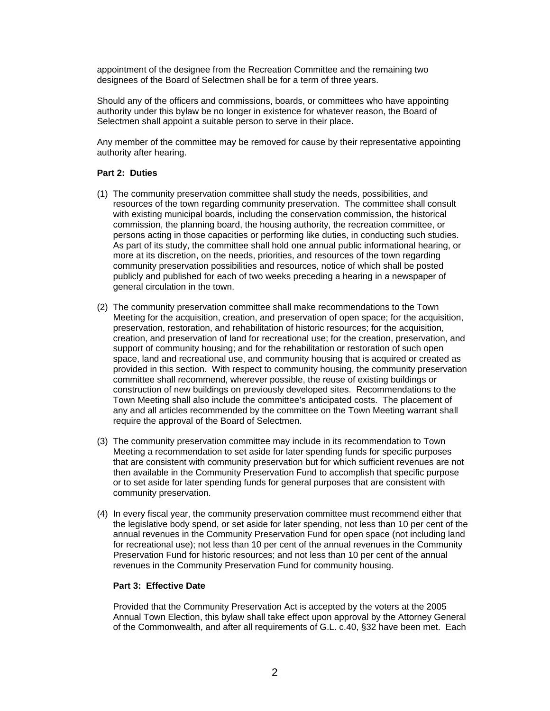appointment of the designee from the Recreation Committee and the remaining two designees of the Board of Selectmen shall be for a term of three years.

Should any of the officers and commissions, boards, or committees who have appointing authority under this bylaw be no longer in existence for whatever reason, the Board of Selectmen shall appoint a suitable person to serve in their place.

Any member of the committee may be removed for cause by their representative appointing authority after hearing.

### **Part 2: Duties**

- (1) The community preservation committee shall study the needs, possibilities, and resources of the town regarding community preservation. The committee shall consult with existing municipal boards, including the conservation commission, the historical commission, the planning board, the housing authority, the recreation committee, or persons acting in those capacities or performing like duties, in conducting such studies. As part of its study, the committee shall hold one annual public informational hearing, or more at its discretion, on the needs, priorities, and resources of the town regarding community preservation possibilities and resources, notice of which shall be posted publicly and published for each of two weeks preceding a hearing in a newspaper of general circulation in the town.
- (2) The community preservation committee shall make recommendations to the Town Meeting for the acquisition, creation, and preservation of open space; for the acquisition, preservation, restoration, and rehabilitation of historic resources; for the acquisition, creation, and preservation of land for recreational use; for the creation, preservation, and support of community housing; and for the rehabilitation or restoration of such open space, land and recreational use, and community housing that is acquired or created as provided in this section. With respect to community housing, the community preservation committee shall recommend, wherever possible, the reuse of existing buildings or construction of new buildings on previously developed sites. Recommendations to the Town Meeting shall also include the committee's anticipated costs. The placement of any and all articles recommended by the committee on the Town Meeting warrant shall require the approval of the Board of Selectmen.
- (3) The community preservation committee may include in its recommendation to Town Meeting a recommendation to set aside for later spending funds for specific purposes that are consistent with community preservation but for which sufficient revenues are not then available in the Community Preservation Fund to accomplish that specific purpose or to set aside for later spending funds for general purposes that are consistent with community preservation.
- (4) In every fiscal year, the community preservation committee must recommend either that the legislative body spend, or set aside for later spending, not less than 10 per cent of the annual revenues in the Community Preservation Fund for open space (not including land for recreational use); not less than 10 per cent of the annual revenues in the Community Preservation Fund for historic resources; and not less than 10 per cent of the annual revenues in the Community Preservation Fund for community housing.

### **Part 3: Effective Date**

Provided that the Community Preservation Act is accepted by the voters at the 2005 Annual Town Election, this bylaw shall take effect upon approval by the Attorney General of the Commonwealth, and after all requirements of G.L. c.40, §32 have been met. Each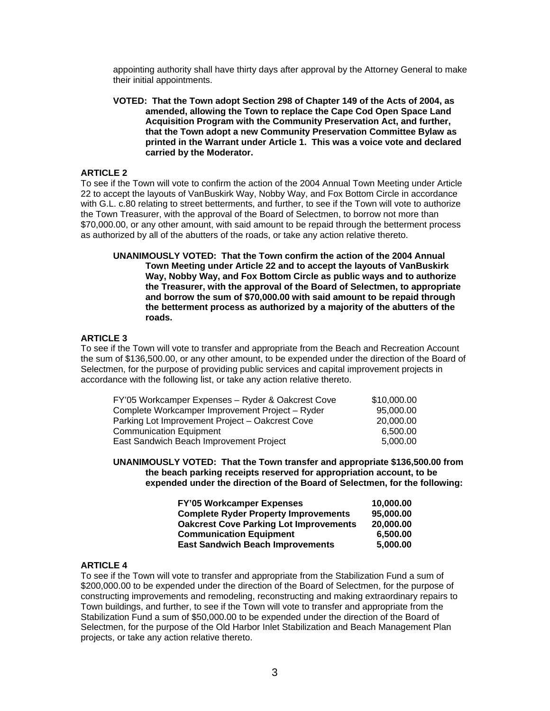appointing authority shall have thirty days after approval by the Attorney General to make their initial appointments.

**VOTED: That the Town adopt Section 298 of Chapter 149 of the Acts of 2004, as amended, allowing the Town to replace the Cape Cod Open Space Land Acquisition Program with the Community Preservation Act, and further, that the Town adopt a new Community Preservation Committee Bylaw as printed in the Warrant under Article 1. This was a voice vote and declared carried by the Moderator.** 

### **ARTICLE 2**

To see if the Town will vote to confirm the action of the 2004 Annual Town Meeting under Article 22 to accept the layouts of VanBuskirk Way, Nobby Way, and Fox Bottom Circle in accordance with G.L. c.80 relating to street betterments, and further, to see if the Town will vote to authorize the Town Treasurer, with the approval of the Board of Selectmen, to borrow not more than \$70,000.00, or any other amount, with said amount to be repaid through the betterment process as authorized by all of the abutters of the roads, or take any action relative thereto.

**UNANIMOUSLY VOTED: That the Town confirm the action of the 2004 Annual Town Meeting under Article 22 and to accept the layouts of VanBuskirk Way, Nobby Way, and Fox Bottom Circle as public ways and to authorize the Treasurer, with the approval of the Board of Selectmen, to appropriate and borrow the sum of \$70,000.00 with said amount to be repaid through the betterment process as authorized by a majority of the abutters of the roads.** 

### **ARTICLE 3**

To see if the Town will vote to transfer and appropriate from the Beach and Recreation Account the sum of \$136,500.00, or any other amount, to be expended under the direction of the Board of Selectmen, for the purpose of providing public services and capital improvement projects in accordance with the following list, or take any action relative thereto.

| FY'05 Workcamper Expenses - Ryder & Oakcrest Cove | \$10,000.00 |
|---------------------------------------------------|-------------|
| Complete Workcamper Improvement Project - Ryder   | 95.000.00   |
| Parking Lot Improvement Project - Oakcrest Cove   | 20,000,00   |
| <b>Communication Equipment</b>                    | 6.500.00    |
| East Sandwich Beach Improvement Project           | 5,000.00    |

**UNANIMOUSLY VOTED: That the Town transfer and appropriate \$136,500.00 from the beach parking receipts reserved for appropriation account, to be expended under the direction of the Board of Selectmen, for the following:** 

| <b>FY'05 Workcamper Expenses</b>              | 10.000.00 |
|-----------------------------------------------|-----------|
| <b>Complete Ryder Property Improvements</b>   | 95,000,00 |
| <b>Oakcrest Cove Parking Lot Improvements</b> | 20,000,00 |
| <b>Communication Equipment</b>                | 6.500.00  |
| <b>East Sandwich Beach Improvements</b>       | 5.000.00  |

## **ARTICLE 4**

To see if the Town will vote to transfer and appropriate from the Stabilization Fund a sum of \$200,000.00 to be expended under the direction of the Board of Selectmen, for the purpose of constructing improvements and remodeling, reconstructing and making extraordinary repairs to Town buildings, and further, to see if the Town will vote to transfer and appropriate from the Stabilization Fund a sum of \$50,000.00 to be expended under the direction of the Board of Selectmen, for the purpose of the Old Harbor Inlet Stabilization and Beach Management Plan projects, or take any action relative thereto.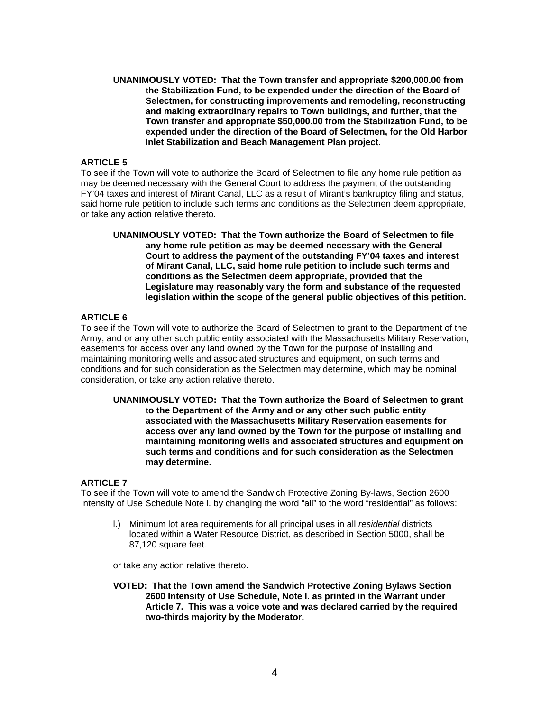**UNANIMOUSLY VOTED: That the Town transfer and appropriate \$200,000.00 from the Stabilization Fund, to be expended under the direction of the Board of Selectmen, for constructing improvements and remodeling, reconstructing and making extraordinary repairs to Town buildings, and further, that the Town transfer and appropriate \$50,000.00 from the Stabilization Fund, to be expended under the direction of the Board of Selectmen, for the Old Harbor Inlet Stabilization and Beach Management Plan project.** 

## **ARTICLE 5**

To see if the Town will vote to authorize the Board of Selectmen to file any home rule petition as may be deemed necessary with the General Court to address the payment of the outstanding FY'04 taxes and interest of Mirant Canal, LLC as a result of Mirant's bankruptcy filing and status, said home rule petition to include such terms and conditions as the Selectmen deem appropriate, or take any action relative thereto.

**UNANIMOUSLY VOTED: That the Town authorize the Board of Selectmen to file any home rule petition as may be deemed necessary with the General Court to address the payment of the outstanding FY'04 taxes and interest of Mirant Canal, LLC, said home rule petition to include such terms and conditions as the Selectmen deem appropriate, provided that the Legislature may reasonably vary the form and substance of the requested legislation within the scope of the general public objectives of this petition.** 

## **ARTICLE 6**

To see if the Town will vote to authorize the Board of Selectmen to grant to the Department of the Army, and or any other such public entity associated with the Massachusetts Military Reservation, easements for access over any land owned by the Town for the purpose of installing and maintaining monitoring wells and associated structures and equipment, on such terms and conditions and for such consideration as the Selectmen may determine, which may be nominal consideration, or take any action relative thereto.

**UNANIMOUSLY VOTED: That the Town authorize the Board of Selectmen to grant to the Department of the Army and or any other such public entity associated with the Massachusetts Military Reservation easements for access over any land owned by the Town for the purpose of installing and maintaining monitoring wells and associated structures and equipment on such terms and conditions and for such consideration as the Selectmen may determine.** 

### **ARTICLE 7**

To see if the Town will vote to amend the Sandwich Protective Zoning By-laws, Section 2600 Intensity of Use Schedule Note I. by changing the word "all" to the word "residential" as follows:

l.) Minimum lot area requirements for all principal uses in all *residential* districts located within a Water Resource District, as described in Section 5000, shall be 87,120 square feet.

or take any action relative thereto.

**VOTED: That the Town amend the Sandwich Protective Zoning Bylaws Section 2600 Intensity of Use Schedule, Note l. as printed in the Warrant under Article 7. This was a voice vote and was declared carried by the required two-thirds majority by the Moderator.**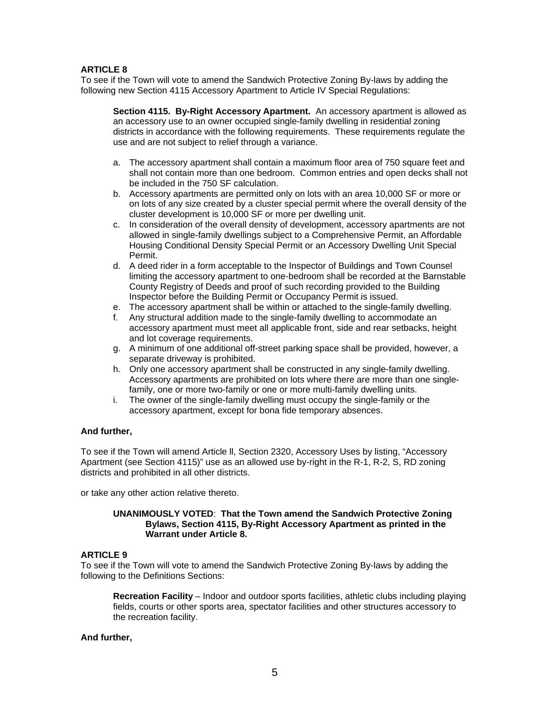## **ARTICLE 8**

To see if the Town will vote to amend the Sandwich Protective Zoning By-laws by adding the following new Section 4115 Accessory Apartment to Article IV Special Regulations:

**Section 4115. By-Right Accessory Apartment.** An accessory apartment is allowed as an accessory use to an owner occupied single-family dwelling in residential zoning districts in accordance with the following requirements. These requirements regulate the use and are not subject to relief through a variance.

- a. The accessory apartment shall contain a maximum floor area of 750 square feet and shall not contain more than one bedroom. Common entries and open decks shall not be included in the 750 SF calculation.
- b. Accessory apartments are permitted only on lots with an area 10,000 SF or more or on lots of any size created by a cluster special permit where the overall density of the cluster development is 10,000 SF or more per dwelling unit.
- c. In consideration of the overall density of development, accessory apartments are not allowed in single-family dwellings subject to a Comprehensive Permit, an Affordable Housing Conditional Density Special Permit or an Accessory Dwelling Unit Special Permit.
- d. A deed rider in a form acceptable to the Inspector of Buildings and Town Counsel limiting the accessory apartment to one-bedroom shall be recorded at the Barnstable County Registry of Deeds and proof of such recording provided to the Building Inspector before the Building Permit or Occupancy Permit is issued.
- e. The accessory apartment shall be within or attached to the single-family dwelling.
- f. Any structural addition made to the single-family dwelling to accommodate an accessory apartment must meet all applicable front, side and rear setbacks, height and lot coverage requirements.
- g. A minimum of one additional off-street parking space shall be provided, however, a separate driveway is prohibited.
- h. Only one accessory apartment shall be constructed in any single-family dwelling. Accessory apartments are prohibited on lots where there are more than one singlefamily, one or more two-family or one or more multi-family dwelling units.
- i. The owner of the single-family dwelling must occupy the single-family or the accessory apartment, except for bona fide temporary absences.

### **And further,**

To see if the Town will amend Article ll, Section 2320, Accessory Uses by listing, "Accessory Apartment (see Section 4115)" use as an allowed use by-right in the R-1, R-2, S, RD zoning districts and prohibited in all other districts.

or take any other action relative thereto.

### **UNANIMOUSLY VOTED**: **That the Town amend the Sandwich Protective Zoning Bylaws, Section 4115, By-Right Accessory Apartment as printed in the Warrant under Article 8.**

### **ARTICLE 9**

To see if the Town will vote to amend the Sandwich Protective Zoning By-laws by adding the following to the Definitions Sections:

**Recreation Facility** – Indoor and outdoor sports facilities, athletic clubs including playing fields, courts or other sports area, spectator facilities and other structures accessory to the recreation facility.

### **And further,**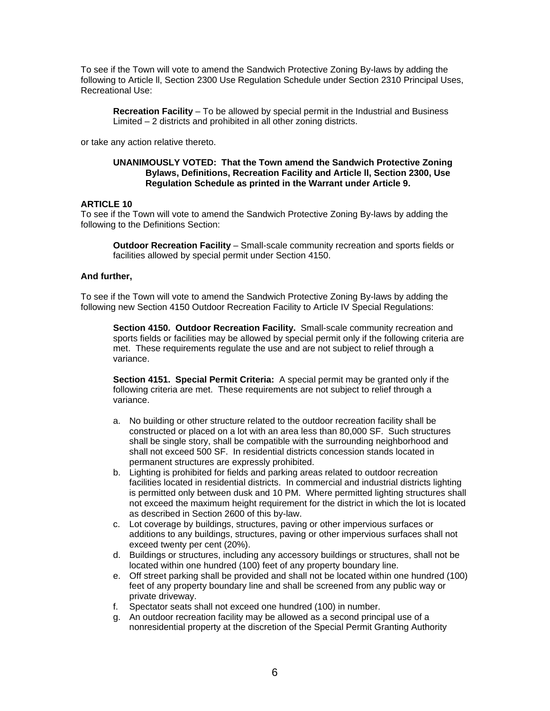To see if the Town will vote to amend the Sandwich Protective Zoning By-laws by adding the following to Article ll, Section 2300 Use Regulation Schedule under Section 2310 Principal Uses, Recreational Use:

**Recreation Facility** – To be allowed by special permit in the Industrial and Business Limited – 2 districts and prohibited in all other zoning districts.

or take any action relative thereto.

### **UNANIMOUSLY VOTED: That the Town amend the Sandwich Protective Zoning Bylaws, Definitions, Recreation Facility and Article ll, Section 2300, Use Regulation Schedule as printed in the Warrant under Article 9.**

### **ARTICLE 10**

To see if the Town will vote to amend the Sandwich Protective Zoning By-laws by adding the following to the Definitions Section:

**Outdoor Recreation Facility** – Small-scale community recreation and sports fields or facilities allowed by special permit under Section 4150.

### **And further,**

To see if the Town will vote to amend the Sandwich Protective Zoning By-laws by adding the following new Section 4150 Outdoor Recreation Facility to Article IV Special Regulations:

**Section 4150. Outdoor Recreation Facility.** Small-scale community recreation and sports fields or facilities may be allowed by special permit only if the following criteria are met. These requirements regulate the use and are not subject to relief through a variance.

**Section 4151. Special Permit Criteria:** A special permit may be granted only if the following criteria are met. These requirements are not subject to relief through a variance.

- a. No building or other structure related to the outdoor recreation facility shall be constructed or placed on a lot with an area less than 80,000 SF. Such structures shall be single story, shall be compatible with the surrounding neighborhood and shall not exceed 500 SF. In residential districts concession stands located in permanent structures are expressly prohibited.
- b. Lighting is prohibited for fields and parking areas related to outdoor recreation facilities located in residential districts. In commercial and industrial districts lighting is permitted only between dusk and 10 PM. Where permitted lighting structures shall not exceed the maximum height requirement for the district in which the lot is located as described in Section 2600 of this by-law.
- c. Lot coverage by buildings, structures, paving or other impervious surfaces or additions to any buildings, structures, paving or other impervious surfaces shall not exceed twenty per cent (20%).
- d. Buildings or structures, including any accessory buildings or structures, shall not be located within one hundred (100) feet of any property boundary line.
- e. Off street parking shall be provided and shall not be located within one hundred (100) feet of any property boundary line and shall be screened from any public way or private driveway.
- f. Spectator seats shall not exceed one hundred (100) in number.
- g. An outdoor recreation facility may be allowed as a second principal use of a nonresidential property at the discretion of the Special Permit Granting Authority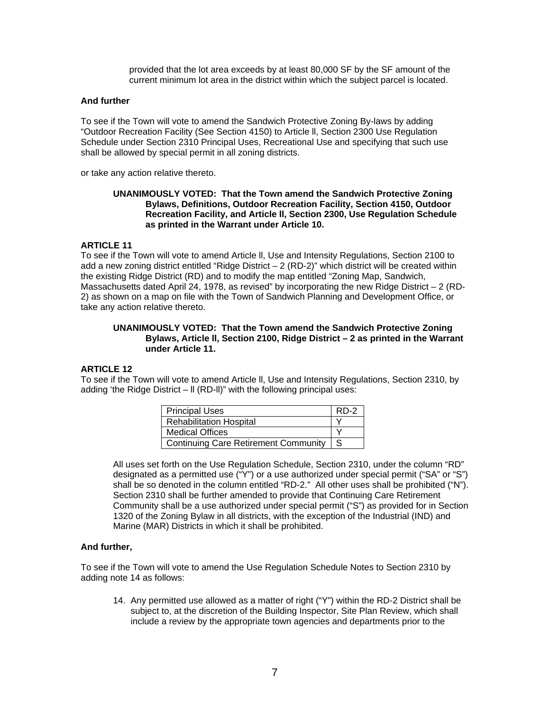provided that the lot area exceeds by at least 80,000 SF by the SF amount of the current minimum lot area in the district within which the subject parcel is located.

### **And further**

To see if the Town will vote to amend the Sandwich Protective Zoning By-laws by adding "Outdoor Recreation Facility (See Section 4150) to Article ll, Section 2300 Use Regulation Schedule under Section 2310 Principal Uses, Recreational Use and specifying that such use shall be allowed by special permit in all zoning districts.

or take any action relative thereto.

### **UNANIMOUSLY VOTED: That the Town amend the Sandwich Protective Zoning Bylaws, Definitions, Outdoor Recreation Facility, Section 4150, Outdoor Recreation Facility, and Article ll, Section 2300, Use Regulation Schedule as printed in the Warrant under Article 10.**

### **ARTICLE 11**

To see if the Town will vote to amend Article ll, Use and Intensity Regulations, Section 2100 to add a new zoning district entitled "Ridge District – 2 (RD-2)" which district will be created within the existing Ridge District (RD) and to modify the map entitled "Zoning Map, Sandwich, Massachusetts dated April 24, 1978, as revised" by incorporating the new Ridge District  $-2$  (RD-2) as shown on a map on file with the Town of Sandwich Planning and Development Office, or take any action relative thereto.

### **UNANIMOUSLY VOTED: That the Town amend the Sandwich Protective Zoning Bylaws, Article ll, Section 2100, Ridge District – 2 as printed in the Warrant under Article 11.**

### **ARTICLE 12**

To see if the Town will vote to amend Article ll, Use and Intensity Regulations, Section 2310, by adding 'the Ridge District – ll (RD-ll)" with the following principal uses:

| <b>Principal Uses</b>                       | $RD-2$ |
|---------------------------------------------|--------|
| <b>Rehabilitation Hospital</b>              |        |
| <b>Medical Offices</b>                      |        |
| <b>Continuing Care Retirement Community</b> | -S     |

All uses set forth on the Use Regulation Schedule, Section 2310, under the column "RD" designated as a permitted use ("Y") or a use authorized under special permit ("SA" or "S") shall be so denoted in the column entitled "RD-2." All other uses shall be prohibited ("N"). Section 2310 shall be further amended to provide that Continuing Care Retirement Community shall be a use authorized under special permit ("S") as provided for in Section 1320 of the Zoning Bylaw in all districts, with the exception of the Industrial (IND) and Marine (MAR) Districts in which it shall be prohibited.

### **And further,**

To see if the Town will vote to amend the Use Regulation Schedule Notes to Section 2310 by adding note 14 as follows:

14. Any permitted use allowed as a matter of right ("Y") within the RD-2 District shall be subject to, at the discretion of the Building Inspector, Site Plan Review, which shall include a review by the appropriate town agencies and departments prior to the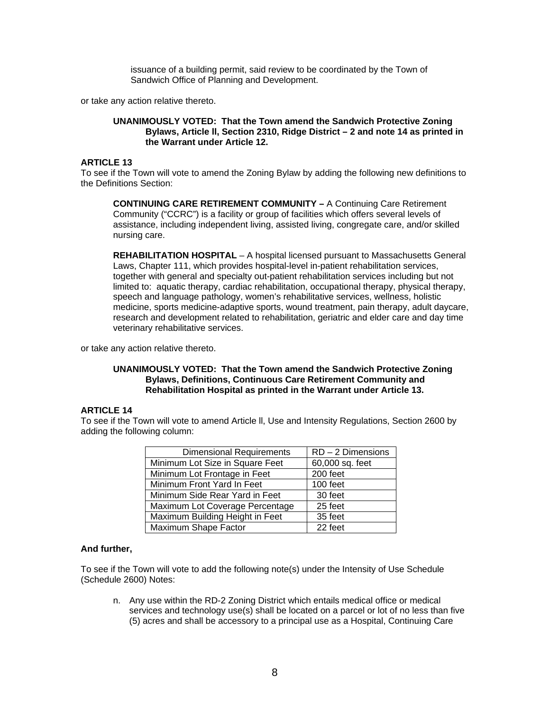issuance of a building permit, said review to be coordinated by the Town of Sandwich Office of Planning and Development.

or take any action relative thereto.

### **UNANIMOUSLY VOTED: That the Town amend the Sandwich Protective Zoning Bylaws, Article ll, Section 2310, Ridge District – 2 and note 14 as printed in the Warrant under Article 12.**

### **ARTICLE 13**

To see if the Town will vote to amend the Zoning Bylaw by adding the following new definitions to the Definitions Section:

**CONTINUING CARE RETIREMENT COMMUNITY –** A Continuing Care Retirement Community ("CCRC") is a facility or group of facilities which offers several levels of assistance, including independent living, assisted living, congregate care, and/or skilled nursing care.

**REHABILITATION HOSPITAL** – A hospital licensed pursuant to Massachusetts General Laws, Chapter 111, which provides hospital-level in-patient rehabilitation services, together with general and specialty out-patient rehabilitation services including but not limited to: aquatic therapy, cardiac rehabilitation, occupational therapy, physical therapy, speech and language pathology, women's rehabilitative services, wellness, holistic medicine, sports medicine-adaptive sports, wound treatment, pain therapy, adult daycare, research and development related to rehabilitation, geriatric and elder care and day time veterinary rehabilitative services.

or take any action relative thereto.

### **UNANIMOUSLY VOTED: That the Town amend the Sandwich Protective Zoning Bylaws, Definitions, Continuous Care Retirement Community and Rehabilitation Hospital as printed in the Warrant under Article 13.**

### **ARTICLE 14**

To see if the Town will vote to amend Article ll, Use and Intensity Regulations, Section 2600 by adding the following column:

| <b>Dimensional Requirements</b> | $RD - 2$ Dimensions |
|---------------------------------|---------------------|
| Minimum Lot Size in Square Feet | 60,000 sq. feet     |
| Minimum Lot Frontage in Feet    | 200 feet            |
| Minimum Front Yard In Feet      | 100 feet            |
| Minimum Side Rear Yard in Feet  | 30 feet             |
| Maximum Lot Coverage Percentage | 25 feet             |
| Maximum Building Height in Feet | 35 feet             |
| Maximum Shape Factor            | 22 feet             |

### **And further,**

To see if the Town will vote to add the following note(s) under the Intensity of Use Schedule (Schedule 2600) Notes:

n. Any use within the RD-2 Zoning District which entails medical office or medical services and technology use(s) shall be located on a parcel or lot of no less than five (5) acres and shall be accessory to a principal use as a Hospital, Continuing Care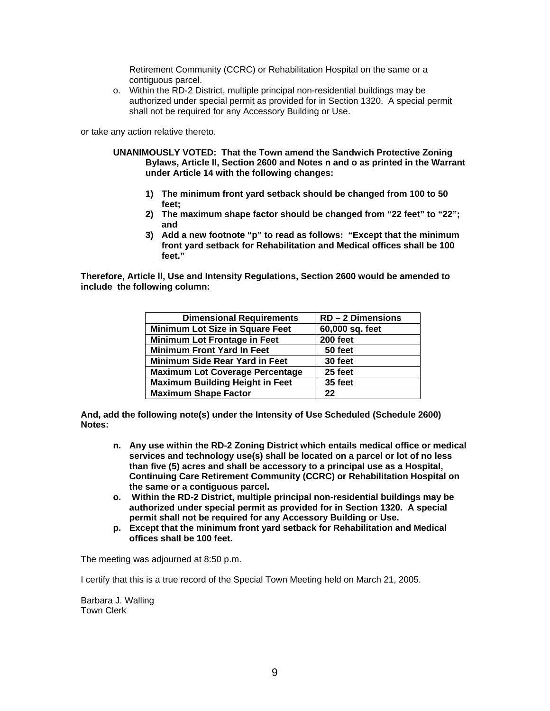Retirement Community (CCRC) or Rehabilitation Hospital on the same or a contiguous parcel.

o. Within the RD-2 District, multiple principal non-residential buildings may be authorized under special permit as provided for in Section 1320. A special permit shall not be required for any Accessory Building or Use.

or take any action relative thereto.

- **UNANIMOUSLY VOTED: That the Town amend the Sandwich Protective Zoning Bylaws, Article ll, Section 2600 and Notes n and o as printed in the Warrant under Article 14 with the following changes:** 
	- **1) The minimum front yard setback should be changed from 100 to 50 feet;**
	- **2) The maximum shape factor should be changed from "22 feet" to "22"; and**
	- **3) Add a new footnote "p" to read as follows: "Except that the minimum front yard setback for Rehabilitation and Medical offices shall be 100 feet."**

**Therefore, Article ll, Use and Intensity Regulations, Section 2600 would be amended to include the following column:** 

| <b>Dimensional Requirements</b>        | $RD - 2$ Dimensions |
|----------------------------------------|---------------------|
| <b>Minimum Lot Size in Square Feet</b> | 60,000 sq. feet     |
| <b>Minimum Lot Frontage in Feet</b>    | 200 feet            |
| <b>Minimum Front Yard In Feet</b>      | 50 feet             |
| Minimum Side Rear Yard in Feet         | 30 feet             |
| <b>Maximum Lot Coverage Percentage</b> | 25 feet             |
| <b>Maximum Building Height in Feet</b> | 35 feet             |
| <b>Maximum Shape Factor</b>            | 22                  |

**And, add the following note(s) under the Intensity of Use Scheduled (Schedule 2600) Notes:** 

- **n. Any use within the RD-2 Zoning District which entails medical office or medical services and technology use(s) shall be located on a parcel or lot of no less than five (5) acres and shall be accessory to a principal use as a Hospital, Continuing Care Retirement Community (CCRC) or Rehabilitation Hospital on the same or a contiguous parcel.**
- **o. Within the RD-2 District, multiple principal non-residential buildings may be authorized under special permit as provided for in Section 1320. A special permit shall not be required for any Accessory Building or Use.**
- **p. Except that the minimum front yard setback for Rehabilitation and Medical offices shall be 100 feet.**

The meeting was adjourned at 8:50 p.m.

I certify that this is a true record of the Special Town Meeting held on March 21, 2005.

Barbara J. Walling Town Clerk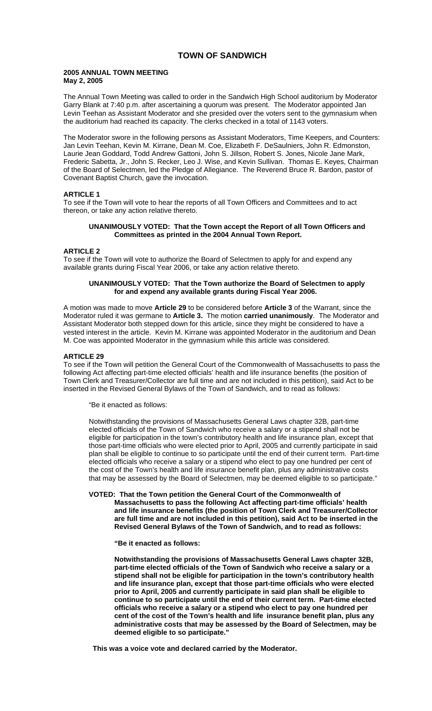## **TOWN OF SANDWICH**

### **2005 ANNUAL TOWN MEETING May 2, 2005**

The Annual Town Meeting was called to order in the Sandwich High School auditorium by Moderator Garry Blank at 7:40 p.m. after ascertaining a quorum was present. The Moderator appointed Jan Levin Teehan as Assistant Moderator and she presided over the voters sent to the gymnasium when the auditorium had reached its capacity. The clerks checked in a total of 1143 voters.

The Moderator swore in the following persons as Assistant Moderators, Time Keepers, and Counters: Jan Levin Teehan, Kevin M. Kirrane, Dean M. Coe, Elizabeth F. DeSaulniers, John R. Edmonston, Laurie Jean Goddard, Todd Andrew Gattoni, John S. Jillson, Robert S. Jones, Nicole Jane Mark, Frederic Sabetta, Jr., John S. Recker, Leo J. Wise, and Kevin Sullivan. Thomas E. Keyes, Chairman of the Board of Selectmen, led the Pledge of Allegiance. The Reverend Bruce R. Bardon, pastor of Covenant Baptist Church, gave the invocation.

## **ARTICLE 1**

To see if the Town will vote to hear the reports of all Town Officers and Committees and to act thereon, or take any action relative thereto.

## **UNANIMOUSLY VOTED: That the Town accept the Report of all Town Officers and Committees as printed in the 2004 Annual Town Report.**

### **ARTICLE 2**

To see if the Town will vote to authorize the Board of Selectmen to apply for and expend any available grants during Fiscal Year 2006, or take any action relative thereto.

### **UNANIMOUSLY VOTED: That the Town authorize the Board of Selectmen to apply for and expend any available grants during Fiscal Year 2006.**

A motion was made to move **Article 29** to be considered before **Article 3** of the Warrant, since the Moderator ruled it was germane to **Article 3.** The motion **carried unanimously**. The Moderator and Assistant Moderator both stepped down for this article, since they might be considered to have a vested interest in the article. Kevin M. Kirrane was appointed Moderator in the auditorium and Dean M. Coe was appointed Moderator in the gymnasium while this article was considered.

### **ARTICLE 29**

To see if the Town will petition the General Court of the Commonwealth of Massachusetts to pass the following Act affecting part-time elected officials' health and life insurance benefits (the position of Town Clerk and Treasurer/Collector are full time and are not included in this petition), said Act to be inserted in the Revised General Bylaws of the Town of Sandwich, and to read as follows:

"Be it enacted as follows:

Notwithstanding the provisions of Massachusetts General Laws chapter 32B, part-time elected officials of the Town of Sandwich who receive a salary or a stipend shall not be eligible for participation in the town's contributory health and life insurance plan, except that those part-time officials who were elected prior to April, 2005 and currently participate in said plan shall be eligible to continue to so participate until the end of their current term. Part-time elected officials who receive a salary or a stipend who elect to pay one hundred per cent of the cost of the Town's health and life insurance benefit plan, plus any administrative costs that may be assessed by the Board of Selectmen, may be deemed eligible to so participate."

## **VOTED: That the Town petition the General Court of the Commonwealth of Massachusetts to pass the following Act affecting part-time officials' health and life insurance benefits (the position of Town Clerk and Treasurer/Collector are full time and are not included in this petition), said Act to be inserted in the Revised General Bylaws of the Town of Sandwich, and to read as follows:**

 **"Be it enacted as follows:** 

 **Notwithstanding the provisions of Massachusetts General Laws chapter 32B, part-time elected officials of the Town of Sandwich who receive a salary or a stipend shall not be eligible for participation in the town's contributory health and life insurance plan, except that those part-time officials who were elected prior to April, 2005 and currently participate in said plan shall be eligible to continue to so participate until the end of their current term. Part-time elected officials who receive a salary or a stipend who elect to pay one hundred per cent of the cost of the Town's health and life insurance benefit plan, plus any administrative costs that may be assessed by the Board of Selectmen, may be deemed eligible to so participate."** 

 **This was a voice vote and declared carried by the Moderator.**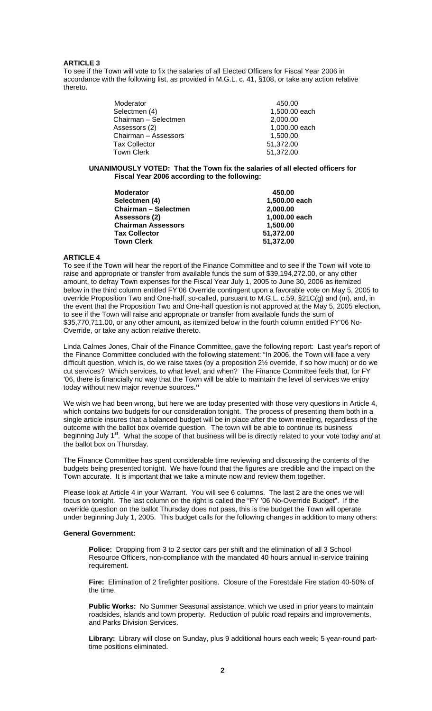## **ARTICLE 3**

To see if the Town will vote to fix the salaries of all Elected Officers for Fiscal Year 2006 in accordance with the following list, as provided in M.G.L. c. 41, §108, or take any action relative thereto.

| Moderator            | 450.00        |
|----------------------|---------------|
| Selectmen (4)        | 1,500.00 each |
| Chairman - Selectmen | 2,000.00      |
| Assessors (2)        | 1,000.00 each |
| Chairman - Assessors | 1,500.00      |
| <b>Tax Collector</b> | 51,372.00     |
| Town Clerk           | 51,372.00     |

### **UNANIMOUSLY VOTED: That the Town fix the salaries of all elected officers for Fiscal Year 2006 according to the following:**

| <b>Moderator</b>            | 450.00        |
|-----------------------------|---------------|
| Selectmen (4)               | 1,500.00 each |
| <b>Chairman - Selectmen</b> | 2,000.00      |
| Assessors (2)               | 1,000.00 each |
| <b>Chairman Assessors</b>   | 1,500.00      |
| <b>Tax Collector</b>        | 51,372.00     |
| <b>Town Clerk</b>           | 51,372.00     |
|                             |               |

### **ARTICLE 4**

To see if the Town will hear the report of the Finance Committee and to see if the Town will vote to raise and appropriate or transfer from available funds the sum of \$39,194,272.00, or any other amount, to defray Town expenses for the Fiscal Year July 1, 2005 to June 30, 2006 as itemized below in the third column entitled FY'06 Override contingent upon a favorable vote on May 5, 2005 to override Proposition Two and One-half, so-called, pursuant to M.G.L. c.59, §21C(g) and (m), and, in the event that the Proposition Two and One-half question is not approved at the May 5, 2005 election, to see if the Town will raise and appropriate or transfer from available funds the sum of \$35,770,711.00, or any other amount, as itemized below in the fourth column entitled FY'06 No-Override, or take any action relative thereto.

Linda Calmes Jones, Chair of the Finance Committee, gave the following report: Last year's report of the Finance Committee concluded with the following statement: "In 2006, the Town will face a very difficult question, which is, do we raise taxes (by a proposition 2½ override, if so how much) or do we cut services? Which services, to what level, and when? The Finance Committee feels that, for FY '06, there is financially no way that the Town will be able to maintain the level of services we enjoy today without new major revenue sources**."** 

We wish we had been wrong, but here we are today presented with those very questions in Article 4, which contains two budgets for our consideration tonight. The process of presenting them both in a single article insures that a balanced budget will be in place after the town meeting, regardless of the outcome with the ballot box override question. The town will be able to continue its business beginning July 1<sup>st</sup>. What the scope of that business will be is directly related to your vote today and at the ballot box on Thursday.

The Finance Committee has spent considerable time reviewing and discussing the contents of the budgets being presented tonight. We have found that the figures are credible and the impact on the Town accurate. It is important that we take a minute now and review them together.

Please look at Article 4 in your Warrant. You will see 6 columns. The last 2 are the ones we will focus on tonight. The last column on the right is called the "FY '06 No-Override Budget". If the override question on the ballot Thursday does not pass, this is the budget the Town will operate under beginning July 1, 2005. This budget calls for the following changes in addition to many others:

### **General Government:**

**Police:** Dropping from 3 to 2 sector cars per shift and the elimination of all 3 School Resource Officers, non-compliance with the mandated 40 hours annual in-service training requirement.

**Fire:** Elimination of 2 firefighter positions. Closure of the Forestdale Fire station 40-50% of the time.

**Public Works:** No Summer Seasonal assistance, which we used in prior years to maintain roadsides, islands and town property. Reduction of public road repairs and improvements, and Parks Division Services.

**Library:** Library will close on Sunday, plus 9 additional hours each week; 5 year-round parttime positions eliminated.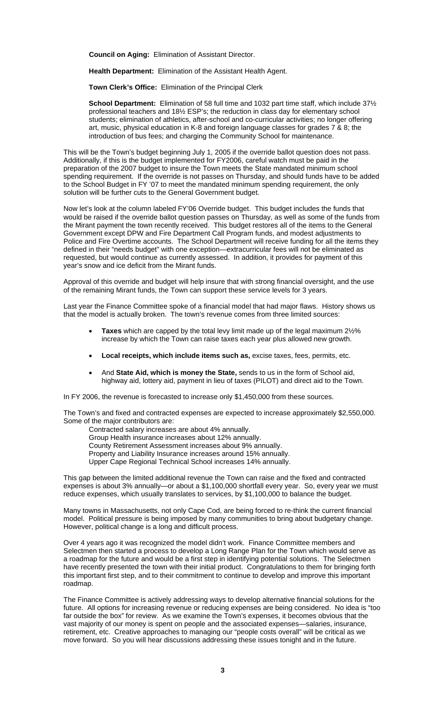**Council on Aging:** Elimination of Assistant Director.

**Health Department:** Elimination of the Assistant Health Agent.

**Town Clerk's Office:** Elimination of the Principal Clerk

**School Department:** Elimination of 58 full time and 1032 part time staff, which include 37½ professional teachers and 18½ ESP's; the reduction in class day for elementary school students; elimination of athletics, after-school and co-curricular activities; no longer offering art, music, physical education in K-8 and foreign language classes for grades 7 & 8; the introduction of bus fees; and charging the Community School for maintenance.

This will be the Town's budget beginning July 1, 2005 if the override ballot question does not pass. Additionally, if this is the budget implemented for FY2006, careful watch must be paid in the preparation of the 2007 budget to insure the Town meets the State mandated minimum school spending requirement. If the override is not passes on Thursday, and should funds have to be added to the School Budget in FY '07 to meet the mandated minimum spending requirement, the only solution will be further cuts to the General Government budget.

Now let's look at the column labeled FY'06 Override budget. This budget includes the funds that would be raised if the override ballot question passes on Thursday, as well as some of the funds from the Mirant payment the town recently received. This budget restores all of the items to the General Government except DPW and Fire Department Call Program funds, and modest adjustments to Police and Fire Overtime accounts. The School Department will receive funding for all the items they defined in their "needs budget" with one exception—extracurricular fees will not be eliminated as requested, but would continue as currently assessed. In addition, it provides for payment of this year's snow and ice deficit from the Mirant funds.

Approval of this override and budget will help insure that with strong financial oversight, and the use of the remaining Mirant funds, the Town can support these service levels for 3 years.

Last year the Finance Committee spoke of a financial model that had major flaws. History shows us that the model is actually broken. The town's revenue comes from three limited sources:

- **Taxes** which are capped by the total levy limit made up of the legal maximum 2½% increase by which the Town can raise taxes each year plus allowed new growth.
- **Local receipts, which include items such as,** excise taxes, fees, permits, etc.
- And **State Aid, which is money the State,** sends to us in the form of School aid, highway aid, lottery aid, payment in lieu of taxes (PILOT) and direct aid to the Town.

In FY 2006, the revenue is forecasted to increase only \$1,450,000 from these sources.

The Town's and fixed and contracted expenses are expected to increase approximately \$2,550,000. Some of the major contributors are:

Contracted salary increases are about 4% annually.

Group Health insurance increases about 12% annually.

County Retirement Assessment increases about 9% annually.

Property and Liability Insurance increases around 15% annually.

Upper Cape Regional Technical School increases 14% annually.

This gap between the limited additional revenue the Town can raise and the fixed and contracted expenses is about 3% annually—or about a \$1,100,000 shortfall every year. So, every year we must reduce expenses, which usually translates to services, by \$1,100,000 to balance the budget.

Many towns in Massachusetts, not only Cape Cod, are being forced to re-think the current financial model. Political pressure is being imposed by many communities to bring about budgetary change. However, political change is a long and difficult process.

Over 4 years ago it was recognized the model didn't work. Finance Committee members and Selectmen then started a process to develop a Long Range Plan for the Town which would serve as a roadmap for the future and would be a first step in identifying potential solutions. The Selectmen have recently presented the town with their initial product. Congratulations to them for bringing forth this important first step, and to their commitment to continue to develop and improve this important roadmap.

The Finance Committee is actively addressing ways to develop alternative financial solutions for the future. All options for increasing revenue or reducing expenses are being considered. No idea is "too far outside the box" for review. As we examine the Town's expenses, it becomes obvious that the vast majority of our money is spent on people and the associated expenses—salaries, insurance, retirement, etc. Creative approaches to managing our "people costs overall" will be critical as we move forward. So you will hear discussions addressing these issues tonight and in the future.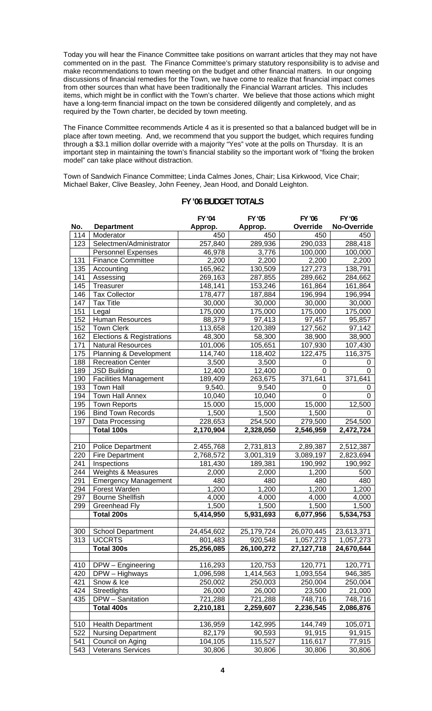Today you will hear the Finance Committee take positions on warrant articles that they may not have commented on in the past. The Finance Committee's primary statutory responsibility is to advise and make recommendations to town meeting on the budget and other financial matters. In our ongoing discussions of financial remedies for the Town, we have come to realize that financial impact comes from other sources than what have been traditionally the Financial Warrant articles. This includes items, which might be in conflict with the Town's charter. We believe that those actions which might have a long-term financial impact on the town be considered diligently and completely, and as required by the Town charter, be decided by town meeting.

The Finance Committee recommends Article 4 as it is presented so that a balanced budget will be in place after town meeting. And, we recommend that you support the budget, which requires funding through a \$3.1 million dollar override with a majority "Yes" vote at the polls on Thursday. It is an important step in maintaining the town's financial stability so the important work of "fixing the broken model" can take place without distraction.

Town of Sandwich Finance Committee; Linda Calmes Jones, Chair; Lisa Kirkwood, Vice Chair; Michael Baker, Clive Beasley, John Feeney, Jean Hood, and Donald Leighton.

|     |                                      | FY '04     | FY '05     | FY '06       | FY '06      |
|-----|--------------------------------------|------------|------------|--------------|-------------|
| No. | <b>Department</b>                    | Approp.    | Approp.    | Override     | No-Override |
| 114 | Moderator                            | 450        | 450        | 450          | 450         |
| 123 | Selectmen/Administrator              | 257,840    | 289,936    | 290,033      | 288,418     |
|     | <b>Personnel Expenses</b>            | 46,978     | 3,776      | 100,000      | 100,000     |
| 131 | <b>Finance Committee</b>             | 2,200      | 2,200      | 2,200        | 2,200       |
| 135 | Accounting                           | 165,962    | 130,509    | 127,273      | 138,791     |
| 141 | Assessing                            | 269,163    | 287,855    | 289,662      | 284,662     |
| 145 | Treasurer                            | 148,141    | 153,246    | 161,864      | 161,864     |
| 146 | <b>Tax Collector</b>                 | 178,477    | 187,884    | 196,994      | 196,994     |
| 147 | <b>Tax Title</b>                     | 30,000     | 30,000     | 30,000       | 30,000      |
| 151 | Legal                                | 175,000    | 175,000    | 175,000      | 175,000     |
| 152 | <b>Human Resources</b>               | 88,379     | 97,413     | 97,457       | 95,857      |
| 152 | <b>Town Clerk</b>                    | 113,658    | 120,389    | 127,562      | 97,142      |
| 162 | <b>Elections &amp; Registrations</b> | 48,300     | 58,300     | 38,900       | 38,900      |
| 171 | <b>Natural Resources</b>             | 101,006    | 105,651    | 107,930      | 107,430     |
| 175 | Planning & Development               | 114,740    | 118,402    | 122,475      | 116,375     |
| 188 | Recreation Center                    | 3,500      | 3,500      | 0            | 0           |
| 189 | <b>JSD Building</b>                  | 12,400     | 12,400     | 0            | $\Omega$    |
| 190 | <b>Facilities Management</b>         | 189,409    | 263,675    | 371,641      | 371,641     |
| 193 | <b>Town Hall</b>                     | 9,540.     | 9,540      | 0            | 0           |
| 194 | <b>Town Hall Annex</b>               | 10,040     | 10,040     | $\Omega$     | $\Omega$    |
| 195 | <b>Town Reports</b>                  | 15.000     | 15,000     | 15,000       | 12,500      |
| 196 | <b>Bind Town Records</b>             | 1,500      | 1,500      | 1,500        | 0           |
| 197 | Data Processing                      | 228,653    | 254,500    | 279,500      | 254,500     |
|     | <b>Total 100s</b>                    | 2,170,904  | 2,328,050  | 2,546,959    | 2,472,724   |
|     |                                      |            |            |              |             |
| 210 | <b>Police Department</b>             | 2.455,768  | 2,731,813  | 2,89,387     | 2,512,387   |
| 220 | <b>Fire Department</b>               | 2,768,572  | 3,001,319  | 3,089,197    | 2,823,694   |
| 241 | Inspections                          | 181,430    | 189,381    | 190,992      | 190,992     |
| 244 | Weights & Measures                   | 2,000      | 2,000      | 1,200        | 500         |
| 291 | <b>Emergency Management</b>          | 480        | 480        | 480          | 480         |
| 294 | Forest Warden                        | 1,200      | 1,200      | 1,200        | 1,200       |
| 297 | <b>Bourne Shellfish</b>              | 4,000      | 4,000      | 4,000        | 4,000       |
| 299 | Greenhead Fly                        | 1,500      | 1,500      | 1,500        | 1,500       |
|     | <b>Total 200s</b>                    | 5,414,950  | 5,931,693  | 6,077,956    | 5,534,753   |
|     |                                      |            |            |              |             |
| 300 | <b>School Department</b>             | 24,454,602 | 25,179,724 | 26,070,445   | 23,613,371  |
| 313 | <b>UCCRTS</b>                        | 801,483    | 920,548    | 1,057,273    | 1,057,273   |
|     | Total 300s                           | 25,256,085 | 26,100,272 | 27, 127, 718 | 24,670,644  |
|     |                                      |            |            |              |             |
| 410 | DPW - Engineering                    | 116,293    | 120,753    | 120,771      | 120,771     |
| 420 | DPW - Highways                       | 1,096,598  | 1,414,563  | 1,093,554    | 946,385     |
| 421 | Snow & Ice                           | 250,002    | 250,003    | 250,004      | 250,004     |
| 424 | Streetlights                         | 26,000     | 26,000     | 23,500       | 21,000      |
| 435 | DPW - Sanitation                     | 721,288    | 721,288    | 748,716      | 748,716     |
|     | Total 400s                           | 2,210,181  | 2,259,607  | 2,236,545    | 2,086,876   |
|     |                                      |            |            |              |             |
| 510 | <b>Health Department</b>             | 136,959    | 142,995    | 144,749      | 105,071     |
| 522 | <b>Nursing Department</b>            | 82,179     | 90,593     | 91,915       | 91,915      |
| 541 | Council on Aging                     | 104,105    | 115,527    | 116,617      | 77,915      |
| 543 | <b>Veterans Services</b>             | 30,806     | 30,806     | 30,806       | 30,806      |
|     |                                      |            |            |              |             |

## **FY '06 BUDGET TOTALS**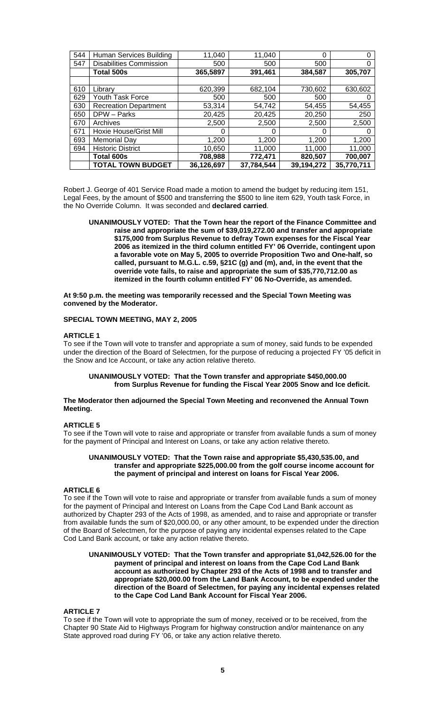| 544 | Human Services Building        | 11,040     | 11,040     | 0          |            |
|-----|--------------------------------|------------|------------|------------|------------|
| 547 | <b>Disabilities Commission</b> | 500        | 500        | 500        |            |
|     | <b>Total 500s</b>              | 365,5897   | 391,461    | 384,587    | 305,707    |
|     |                                |            |            |            |            |
| 610 | Library                        | 620,399    | 682,104    | 730,602    | 630,602    |
| 629 | Youth Task Force               | 500        | 500        | 500        |            |
| 630 | <b>Recreation Department</b>   | 53.314     | 54,742     | 54.455     | 54,455     |
| 650 | DPW - Parks                    | 20,425     | 20,425     | 20,250     | 250        |
| 670 | Archives                       | 2,500      | 2,500      | 2,500      | 2,500      |
| 671 | Hoxie House/Grist Mill         | O          | 0          | O          |            |
| 693 | <b>Memorial Day</b>            | 1,200      | 1,200      | 1,200      | 1,200      |
| 694 | <b>Historic District</b>       | 10,650     | 11,000     | 11,000     | 11,000     |
|     | Total 600s                     | 708,988    | 772,471    | 820,507    | 700,007    |
|     | <b>TOTAL TOWN BUDGET</b>       | 36,126,697 | 37,784,544 | 39,194,272 | 35,770,711 |

Robert J. George of 401 Service Road made a motion to amend the budget by reducing item 151, Legal Fees, by the amount of \$500 and transferring the \$500 to line item 629, Youth task Force, in the No Override Column. It was seconded and **declared carried**.

**UNANIMOUSLY VOTED: That the Town hear the report of the Finance Committee and raise and appropriate the sum of \$39,019,272.00 and transfer and appropriate \$175,000 from Surplus Revenue to defray Town expenses for the Fiscal Year 2006 as itemized in the third column entitled FY' 06 Override, contingent upon a favorable vote on May 5, 2005 to override Proposition Two and One-half, so called, pursuant to M.G.L. c.59, §21C (g) and (m), and, in the event that the override vote fails, to raise and appropriate the sum of \$35,770,712.00 as itemized in the fourth column entitled FY' 06 No-Override, as amended.** 

**At 9:50 p.m. the meeting was temporarily recessed and the Special Town Meeting was convened by the Moderator.** 

### **SPECIAL TOWN MEETING, MAY 2, 2005**

### **ARTICLE 1**

To see if the Town will vote to transfer and appropriate a sum of money, said funds to be expended under the direction of the Board of Selectmen, for the purpose of reducing a projected FY '05 deficit in the Snow and Ice Account, or take any action relative thereto.

### **UNANIMOUSLY VOTED: That the Town transfer and appropriate \$450,000.00 from Surplus Revenue for funding the Fiscal Year 2005 Snow and Ice deficit.**

### **The Moderator then adjourned the Special Town Meeting and reconvened the Annual Town Meeting.**

### **ARTICLE 5**

To see if the Town will vote to raise and appropriate or transfer from available funds a sum of money for the payment of Principal and Interest on Loans, or take any action relative thereto.

### **UNANIMOUSLY VOTED: That the Town raise and appropriate \$5,430,535.00, and transfer and appropriate \$225,000.00 from the golf course income account for the payment of principal and interest on loans for Fiscal Year 2006.**

## **ARTICLE 6**

To see if the Town will vote to raise and appropriate or transfer from available funds a sum of money for the payment of Principal and Interest on Loans from the Cape Cod Land Bank account as authorized by Chapter 293 of the Acts of 1998, as amended, and to raise and appropriate or transfer from available funds the sum of \$20,000.00, or any other amount, to be expended under the direction of the Board of Selectmen, for the purpose of paying any incidental expenses related to the Cape Cod Land Bank account, or take any action relative thereto.

### **UNANIMOUSLY VOTED: That the Town transfer and appropriate \$1,042,526.00 for the payment of principal and interest on loans from the Cape Cod Land Bank account as authorized by Chapter 293 of the Acts of 1998 and to transfer and appropriate \$20,000.00 from the Land Bank Account, to be expended under the direction of the Board of Selectmen, for paying any incidental expenses related to the Cape Cod Land Bank Account for Fiscal Year 2006.**

### **ARTICLE 7**

To see if the Town will vote to appropriate the sum of money, received or to be received, from the Chapter 90 State Aid to Highways Program for highway construction and/or maintenance on any State approved road during FY '06, or take any action relative thereto.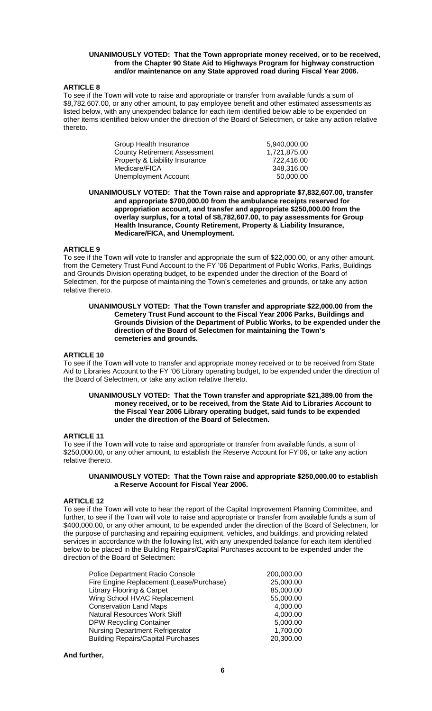### **UNANIMOUSLY VOTED: That the Town appropriate money received, or to be received, from the Chapter 90 State Aid to Highways Program for highway construction and/or maintenance on any State approved road during Fiscal Year 2006.**

### **ARTICLE 8**

To see if the Town will vote to raise and appropriate or transfer from available funds a sum of \$8,782,607.00, or any other amount, to pay employee benefit and other estimated assessments as listed below, with any unexpended balance for each item identified below able to be expended on other items identified below under the direction of the Board of Selectmen, or take any action relative thereto.

| Group Health Insurance              | 5.940.000.00 |
|-------------------------------------|--------------|
| <b>County Retirement Assessment</b> | 1.721.875.00 |
| Property & Liability Insurance      | 722.416.00   |
| Medicare/FICA                       | 348.316.00   |
| Unemployment Account                | 50.000.00    |

**UNANIMOUSLY VOTED: That the Town raise and appropriate \$7,832,607.00, transfer and appropriate \$700,000.00 from the ambulance receipts reserved for appropriation account, and transfer and appropriate \$250,000.00 from the overlay surplus, for a total of \$8,782,607.00, to pay assessments for Group Health Insurance, County Retirement, Property & Liability Insurance, Medicare/FICA, and Unemployment.** 

### **ARTICLE 9**

To see if the Town will vote to transfer and appropriate the sum of \$22,000.00, or any other amount, from the Cemetery Trust Fund Account to the FY '06 Department of Public Works, Parks, Buildings and Grounds Division operating budget, to be expended under the direction of the Board of Selectmen, for the purpose of maintaining the Town's cemeteries and grounds, or take any action relative thereto.

### **UNANIMOUSLY VOTED: That the Town transfer and appropriate \$22,000.00 from the Cemetery Trust Fund account to the Fiscal Year 2006 Parks, Buildings and Grounds Division of the Department of Public Works, to be expended under the direction of the Board of Selectmen for maintaining the Town's cemeteries and grounds.**

### **ARTICLE 10**

To see if the Town will vote to transfer and appropriate money received or to be received from State Aid to Libraries Account to the FY '06 Library operating budget, to be expended under the direction of the Board of Selectmen, or take any action relative thereto.

### **UNANIMOUSLY VOTED: That the Town transfer and appropriate \$21,389.00 from the money received, or to be received, from the State Aid to Libraries Account to the Fiscal Year 2006 Library operating budget, said funds to be expended under the direction of the Board of Selectmen.**

### **ARTICLE 11**

To see if the Town will vote to raise and appropriate or transfer from available funds, a sum of \$250,000.00, or any other amount, to establish the Reserve Account for FY'06, or take any action relative thereto.

### **UNANIMOUSLY VOTED: That the Town raise and appropriate \$250,000.00 to establish a Reserve Account for Fiscal Year 2006.**

### **ARTICLE 12**

To see if the Town will vote to hear the report of the Capital Improvement Planning Committee, and further, to see if the Town will vote to raise and appropriate or transfer from available funds a sum of \$400,000.00, or any other amount, to be expended under the direction of the Board of Selectmen, for the purpose of purchasing and repairing equipment, vehicles, and buildings, and providing related services in accordance with the following list, with any unexpended balance for each item identified below to be placed in the Building Repairs/Capital Purchases account to be expended under the direction of the Board of Selectmen:

| Police Department Radio Console           | 200,000.00 |
|-------------------------------------------|------------|
| Fire Engine Replacement (Lease/Purchase)  | 25,000.00  |
| <b>Library Flooring &amp; Carpet</b>      | 85,000.00  |
| Wing School HVAC Replacement              | 55,000.00  |
| <b>Conservation Land Maps</b>             | 4,000.00   |
| <b>Natural Resources Work Skiff</b>       | 4,000.00   |
| <b>DPW Recycling Container</b>            | 5,000.00   |
| <b>Nursing Department Refrigerator</b>    | 1,700.00   |
| <b>Building Repairs/Capital Purchases</b> | 20,300.00  |

## **And further,**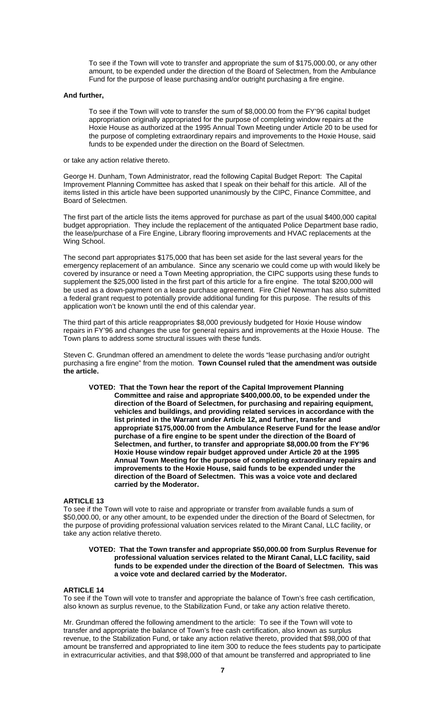To see if the Town will vote to transfer and appropriate the sum of \$175,000.00, or any other amount, to be expended under the direction of the Board of Selectmen, from the Ambulance Fund for the purpose of lease purchasing and/or outright purchasing a fire engine.

### **And further,**

To see if the Town will vote to transfer the sum of \$8,000.00 from the FY'96 capital budget appropriation originally appropriated for the purpose of completing window repairs at the Hoxie House as authorized at the 1995 Annual Town Meeting under Article 20 to be used for the purpose of completing extraordinary repairs and improvements to the Hoxie House, said funds to be expended under the direction on the Board of Selectmen.

or take any action relative thereto.

George H. Dunham, Town Administrator, read the following Capital Budget Report: The Capital Improvement Planning Committee has asked that I speak on their behalf for this article. All of the items listed in this article have been supported unanimously by the CIPC, Finance Committee, and Board of Selectmen.

The first part of the article lists the items approved for purchase as part of the usual \$400,000 capital budget appropriation. They include the replacement of the antiquated Police Department base radio, the lease/purchase of a Fire Engine, Library flooring improvements and HVAC replacements at the Wing School.

The second part appropriates \$175,000 that has been set aside for the last several years for the emergency replacement of an ambulance. Since any scenario we could come up with would likely be covered by insurance or need a Town Meeting appropriation, the CIPC supports using these funds to supplement the \$25,000 listed in the first part of this article for a fire engine. The total \$200,000 will be used as a down-payment on a lease purchase agreement. Fire Chief Newman has also submitted a federal grant request to potentially provide additional funding for this purpose. The results of this application won't be known until the end of this calendar year.

The third part of this article reappropriates \$8,000 previously budgeted for Hoxie House window repairs in FY'96 and changes the use for general repairs and improvements at the Hoxie House. The Town plans to address some structural issues with these funds.

Steven C. Grundman offered an amendment to delete the words "lease purchasing and/or outright purchasing a fire engine" from the motion. **Town Counsel ruled that the amendment was outside the article.** 

**VOTED: That the Town hear the report of the Capital Improvement Planning Committee and raise and appropriate \$400,000.00, to be expended under the direction of the Board of Selectmen, for purchasing and repairing equipment, vehicles and buildings, and providing related services in accordance with the list printed in the Warrant under Article 12, and further, transfer and appropriate \$175,000.00 from the Ambulance Reserve Fund for the lease and/or purchase of a fire engine to be spent under the direction of the Board of Selectmen, and further, to transfer and appropriate \$8,000.00 from the FY'96 Hoxie House window repair budget approved under Article 20 at the 1995 Annual Town Meeting for the purpose of completing extraordinary repairs and improvements to the Hoxie House, said funds to be expended under the direction of the Board of Selectmen. This was a voice vote and declared carried by the Moderator.** 

## **ARTICLE 13**

To see if the Town will vote to raise and appropriate or transfer from available funds a sum of \$50,000.00, or any other amount, to be expended under the direction of the Board of Selectmen, for the purpose of providing professional valuation services related to the Mirant Canal, LLC facility, or take any action relative thereto.

**VOTED: That the Town transfer and appropriate \$50,000.00 from Surplus Revenue for professional valuation services related to the Mirant Canal, LLC facility, said funds to be expended under the direction of the Board of Selectmen. This was a voice vote and declared carried by the Moderator.** 

### **ARTICLE 14**

To see if the Town will vote to transfer and appropriate the balance of Town's free cash certification, also known as surplus revenue, to the Stabilization Fund, or take any action relative thereto.

Mr. Grundman offered the following amendment to the article: To see if the Town will vote to transfer and appropriate the balance of Town's free cash certification, also known as surplus revenue, to the Stabilization Fund, or take any action relative thereto, provided that \$98,000 of that amount be transferred and appropriated to line item 300 to reduce the fees students pay to participate in extracurricular activities, and that \$98,000 of that amount be transferred and appropriated to line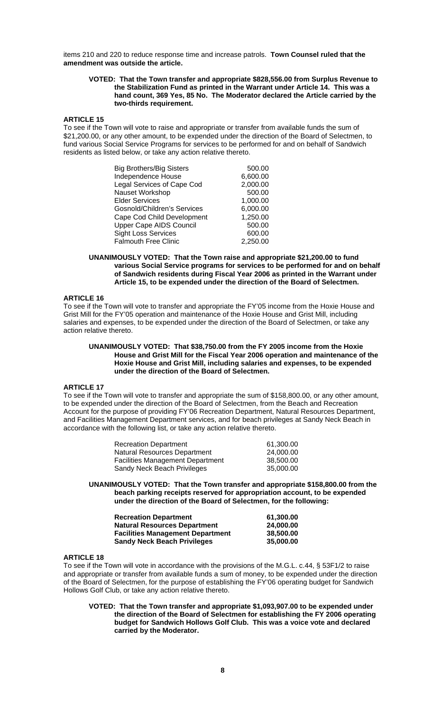items 210 and 220 to reduce response time and increase patrols. **Town Counsel ruled that the amendment was outside the article.** 

### **VOTED: That the Town transfer and appropriate \$828,556.00 from Surplus Revenue to the Stabilization Fund as printed in the Warrant under Article 14. This was a hand count, 369 Yes, 85 No. The Moderator declared the Article carried by the two-thirds requirement.**

## **ARTICLE 15**

To see if the Town will vote to raise and appropriate or transfer from available funds the sum of \$21,200.00, or any other amount, to be expended under the direction of the Board of Selectmen, to fund various Social Service Programs for services to be performed for and on behalf of Sandwich residents as listed below, or take any action relative thereto.

| <b>Big Brothers/Big Sisters</b>    | 500.00   |
|------------------------------------|----------|
| Independence House                 | 6,600.00 |
| Legal Services of Cape Cod         | 2,000.00 |
| Nauset Workshop                    | 500.00   |
| <b>Elder Services</b>              | 1,000.00 |
| <b>Gosnold/Children's Services</b> | 6,000.00 |
| Cape Cod Child Development         | 1,250.00 |
| Upper Cape AIDS Council            | 500.00   |
| <b>Sight Loss Services</b>         | 600.00   |
| <b>Falmouth Free Clinic</b>        | 2,250.00 |

### **UNANIMOUSLY VOTED: That the Town raise and appropriate \$21,200.00 to fund various Social Service programs for services to be performed for and on behalf of Sandwich residents during Fiscal Year 2006 as printed in the Warrant under Article 15, to be expended under the direction of the Board of Selectmen.**

## **ARTICLE 16**

To see if the Town will vote to transfer and appropriate the FY'05 income from the Hoxie House and Grist Mill for the FY'05 operation and maintenance of the Hoxie House and Grist Mill, including salaries and expenses, to be expended under the direction of the Board of Selectmen, or take any action relative thereto.

### **UNANIMOUSLY VOTED: That \$38,750.00 from the FY 2005 income from the Hoxie House and Grist Mill for the Fiscal Year 2006 operation and maintenance of the Hoxie House and Grist Mill, including salaries and expenses, to be expended under the direction of the Board of Selectmen.**

## **ARTICLE 17**

To see if the Town will vote to transfer and appropriate the sum of \$158,800.00, or any other amount, to be expended under the direction of the Board of Selectmen, from the Beach and Recreation Account for the purpose of providing FY'06 Recreation Department, Natural Resources Department, and Facilities Management Department services, and for beach privileges at Sandy Neck Beach in accordance with the following list, or take any action relative thereto.

| <b>Recreation Department</b>            | 61.300.00 |
|-----------------------------------------|-----------|
| Natural Resources Department            | 24.000.00 |
| <b>Facilities Management Department</b> | 38.500.00 |
| Sandy Neck Beach Privileges             | 35.000.00 |

### **UNANIMOUSLY VOTED: That the Town transfer and appropriate \$158,800.00 from the beach parking receipts reserved for appropriation account, to be expended under the direction of the Board of Selectmen, for the following:**

| <b>Recreation Department</b> |                                         | 61.300.00 |
|------------------------------|-----------------------------------------|-----------|
|                              | <b>Natural Resources Department</b>     | 24.000.00 |
|                              | <b>Facilities Management Department</b> | 38.500.00 |
|                              | <b>Sandy Neck Beach Privileges</b>      | 35,000,00 |

## **ARTICLE 18**

To see if the Town will vote in accordance with the provisions of the M.G.L. c.44, § 53F1/2 to raise and appropriate or transfer from available funds a sum of money, to be expended under the direction of the Board of Selectmen, for the purpose of establishing the FY'06 operating budget for Sandwich Hollows Golf Club, or take any action relative thereto.

**VOTED: That the Town transfer and appropriate \$1,093,907.00 to be expended under the direction of the Board of Selectmen for establishing the FY 2006 operating budget for Sandwich Hollows Golf Club. This was a voice vote and declared carried by the Moderator.**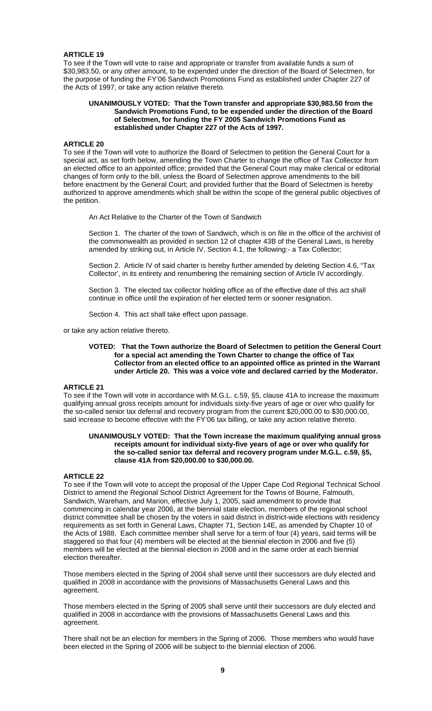### **ARTICLE 19**

To see if the Town will vote to raise and appropriate or transfer from available funds a sum of \$30,983.50, or any other amount, to be expended under the direction of the Board of Selectmen, for the purpose of funding the FY'06 Sandwich Promotions Fund as established under Chapter 227 of the Acts of 1997, or take any action relative thereto.

### **UNANIMOUSLY VOTED: That the Town transfer and appropriate \$30,983.50 from the Sandwich Promotions Fund, to be expended under the direction of the Board of Selectmen, for funding the FY 2005 Sandwich Promotions Fund as established under Chapter 227 of the Acts of 1997.**

### **ARTICLE 20**

To see if the Town will vote to authorize the Board of Selectmen to petition the General Court for a special act, as set forth below, amending the Town Charter to change the office of Tax Collector from an elected office to an appointed office; provided that the General Court may make clerical or editorial changes of form only to the bill, unless the Board of Selectmen approve amendments to the bill before enactment by the General Court; and provided further that the Board of Selectmen is hereby authorized to approve amendments which shall be within the scope of the general public objectives of the petition.

An Act Relative to the Charter of the Town of Sandwich

Section 1. The charter of the town of Sandwich, which is on file in the office of the archivist of the commonwealth as provided in section 12 of chapter 43B of the General Laws, is hereby amended by striking out, in Article IV, Section 4.1, the following:- a Tax Collector;

Section 2. Article IV of said charter is hereby further amended by deleting Section 4.6, "Tax Collector', in its entirety and renumbering the remaining section of Article IV accordingly.

Section 3. The elected tax collector holding office as of the effective date of this act shall continue in office until the expiration of her elected term or sooner resignation.

Section 4. This act shall take effect upon passage.

or take any action relative thereto.

### **VOTED: That the Town authorize the Board of Selectmen to petition the General Court for a special act amending the Town Charter to change the office of Tax Collector from an elected office to an appointed office as printed in the Warrant under Article 20. This was a voice vote and declared carried by the Moderator.**

## **ARTICLE 21**

To see if the Town will vote in accordance with M.G.L. c.59, §5, clause 41A to increase the maximum qualifying annual gross receipts amount for individuals sixty-five years of age or over who qualify for the so-called senior tax deferral and recovery program from the current \$20,000.00 to \$30,000.00, said increase to become effective with the FY'06 tax billing, or take any action relative thereto.

### **UNANIMOUSLY VOTED: That the Town increase the maximum qualifying annual gross receipts amount for individual sixty-five years of age or over who qualify for the so-called senior tax deferral and recovery program under M.G.L. c.59, §5, clause 41A from \$20,000.00 to \$30,000.00.**

### **ARTICLE 22**

To see if the Town will vote to accept the proposal of the Upper Cape Cod Regional Technical School District to amend the Regional School District Agreement for the Towns of Bourne, Falmouth, Sandwich, Wareham, and Marion, effective July 1, 2005, said amendment to provide that commencing in calendar year 2006, at the biennial state election, members of the regional school district committee shall be chosen by the voters in said district in district-wide elections with residency requirements as set forth in General Laws, Chapter 71, Section 14E, as amended by Chapter 10 of the Acts of 1988. Each committee member shall serve for a term of four (4) years, said terms will be staggered so that four (4) members will be elected at the biennial election in 2006 and five (5) members will be elected at the biennial election in 2008 and in the same order at each biennial election thereafter.

Those members elected in the Spring of 2004 shall serve until their successors are duly elected and qualified in 2008 in accordance with the provisions of Massachusetts General Laws and this agreement.

Those members elected in the Spring of 2005 shall serve until their successors are duly elected and qualified in 2008 in accordance with the provisions of Massachusetts General Laws and this agreement.

There shall not be an election for members in the Spring of 2006. Those members who would have been elected in the Spring of 2006 will be subject to the biennial election of 2006.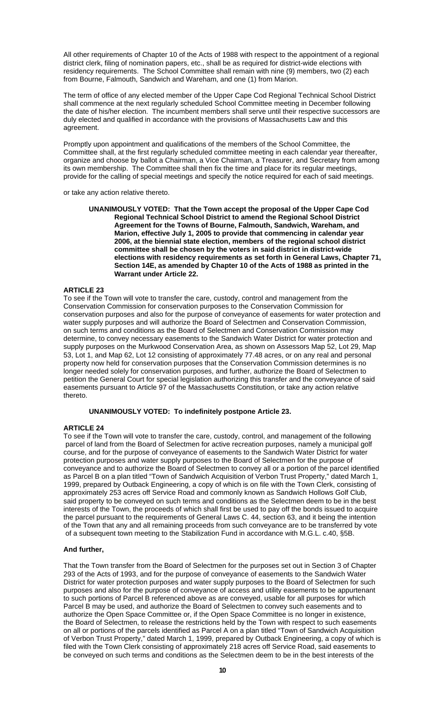All other requirements of Chapter 10 of the Acts of 1988 with respect to the appointment of a regional district clerk, filing of nomination papers, etc., shall be as required for district-wide elections with residency requirements. The School Committee shall remain with nine (9) members, two (2) each from Bourne, Falmouth, Sandwich and Wareham, and one (1) from Marion.

The term of office of any elected member of the Upper Cape Cod Regional Technical School District shall commence at the next regularly scheduled School Committee meeting in December following the date of his/her election. The incumbent members shall serve until their respective successors are duly elected and qualified in accordance with the provisions of Massachusetts Law and this agreement.

Promptly upon appointment and qualifications of the members of the School Committee, the Committee shall, at the first regularly scheduled committee meeting in each calendar year thereafter, organize and choose by ballot a Chairman, a Vice Chairman, a Treasurer, and Secretary from among its own membership. The Committee shall then fix the time and place for its regular meetings, provide for the calling of special meetings and specify the notice required for each of said meetings.

or take any action relative thereto.

**UNANIMOUSLY VOTED: That the Town accept the proposal of the Upper Cape Cod Regional Technical School District to amend the Regional School District Agreement for the Towns of Bourne, Falmouth, Sandwich, Wareham, and Marion, effective July 1, 2005 to provide that commencing in calendar year 2006, at the biennial state election, members of the regional school district committee shall be chosen by the voters in said district in district-wide elections with residency requirements as set forth in General Laws, Chapter 71, Section 14E, as amended by Chapter 10 of the Acts of 1988 as printed in the Warrant under Article 22.** 

## **ARTICLE 23**

To see if the Town will vote to transfer the care, custody, control and management from the Conservation Commission for conservation purposes to the Conservation Commission for conservation purposes and also for the purpose of conveyance of easements for water protection and water supply purposes and will authorize the Board of Selectmen and Conservation Commission, on such terms and conditions as the Board of Selectmen and Conservation Commission may determine, to convey necessary easements to the Sandwich Water District for water protection and supply purposes on the Murkwood Conservation Area, as shown on Assessors Map 52, Lot 29, Map 53, Lot 1, and Map 62, Lot 12 consisting of approximately 77.48 acres, or on any real and personal property now held for conservation purposes that the Conservation Commission determines is no longer needed solely for conservation purposes, and further, authorize the Board of Selectmen to petition the General Court for special legislation authorizing this transfer and the conveyance of said easements pursuant to Article 97 of the Massachusetts Constitution, or take any action relative thereto.

### **UNANIMOUSLY VOTED: To indefinitely postpone Article 23.**

### **ARTICLE 24**

To see if the Town will vote to transfer the care, custody, control, and management of the following parcel of land from the Board of Selectmen for active recreation purposes, namely a municipal golf course, and for the purpose of conveyance of easements to the Sandwich Water District for water protection purposes and water supply purposes to the Board of Selectmen for the purpose of conveyance and to authorize the Board of Selectmen to convey all or a portion of the parcel identified as Parcel B on a plan titled "Town of Sandwich Acquisition of Verbon Trust Property," dated March 1, 1999, prepared by Outback Engineering, a copy of which is on file with the Town Clerk, consisting of approximately 253 acres off Service Road and commonly known as Sandwich Hollows Golf Club, said property to be conveyed on such terms and conditions as the Selectmen deem to be in the best interests of the Town, the proceeds of which shall first be used to pay off the bonds issued to acquire the parcel pursuant to the requirements of General Laws C. 44, section 63, and it being the intention of the Town that any and all remaining proceeds from such conveyance are to be transferred by vote of a subsequent town meeting to the Stabilization Fund in accordance with M.G.L. c.40, §5B.

## **And further,**

That the Town transfer from the Board of Selectmen for the purposes set out in Section 3 of Chapter 293 of the Acts of 1993, and for the purpose of conveyance of easements to the Sandwich Water District for water protection purposes and water supply purposes to the Board of Selectmen for such purposes and also for the purpose of conveyance of access and utility easements to be appurtenant to such portions of Parcel B referenced above as are conveyed, usable for all purposes for which Parcel B may be used, and authorize the Board of Selectmen to convey such easements and to authorize the Open Space Committee or, if the Open Space Committee is no longer in existence, the Board of Selectmen, to release the restrictions held by the Town with respect to such easements on all or portions of the parcels identified as Parcel A on a plan titled "Town of Sandwich Acquisition of Verbon Trust Property," dated March 1, 1999, prepared by Outback Engineering, a copy of which is filed with the Town Clerk consisting of approximately 218 acres off Service Road, said easements to be conveyed on such terms and conditions as the Selectmen deem to be in the best interests of the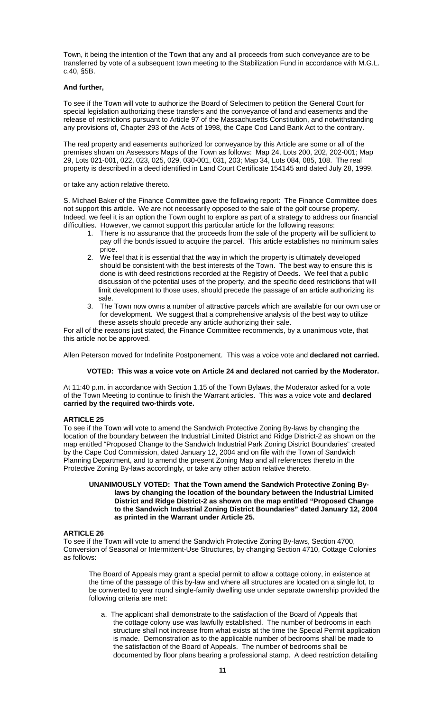Town, it being the intention of the Town that any and all proceeds from such conveyance are to be transferred by vote of a subsequent town meeting to the Stabilization Fund in accordance with M.G.L. c.40, §5B.

## **And further,**

To see if the Town will vote to authorize the Board of Selectmen to petition the General Court for special legislation authorizing these transfers and the conveyance of land and easements and the release of restrictions pursuant to Article 97 of the Massachusetts Constitution, and notwithstanding any provisions of, Chapter 293 of the Acts of 1998, the Cape Cod Land Bank Act to the contrary.

The real property and easements authorized for conveyance by this Article are some or all of the premises shown on Assessors Maps of the Town as follows: Map 24, Lots 200, 202, 202-001; Map 29, Lots 021-001, 022, 023, 025, 029, 030-001, 031, 203; Map 34, Lots 084, 085, 108. The real property is described in a deed identified in Land Court Certificate 154145 and dated July 28, 1999.

or take any action relative thereto.

S. Michael Baker of the Finance Committee gave the following report: The Finance Committee does not support this article. We are not necessarily opposed to the sale of the golf course property. Indeed, we feel it is an option the Town ought to explore as part of a strategy to address our financial difficulties. However, we cannot support this particular article for the following reasons:

- 1. There is no assurance that the proceeds from the sale of the property will be sufficient to pay off the bonds issued to acquire the parcel. This article establishes no minimum sales price.
- 2. We feel that it is essential that the way in which the property is ultimately developed should be consistent with the best interests of the Town. The best way to ensure this is done is with deed restrictions recorded at the Registry of Deeds. We feel that a public discussion of the potential uses of the property, and the specific deed restrictions that will limit development to those uses, should precede the passage of an article authorizing its sale.
- 3. The Town now owns a number of attractive parcels which are available for our own use or for development. We suggest that a comprehensive analysis of the best way to utilize these assets should precede any article authorizing their sale.

For all of the reasons just stated, the Finance Committee recommends, by a unanimous vote, that this article not be approved.

Allen Peterson moved for Indefinite Postponement. This was a voice vote and **declared not carried.** 

### **VOTED: This was a voice vote on Article 24 and declared not carried by the Moderator.**

At 11:40 p.m. in accordance with Section 1.15 of the Town Bylaws, the Moderator asked for a vote of the Town Meeting to continue to finish the Warrant articles. This was a voice vote and **declared carried by the required two-thirds vote.** 

### **ARTICLE 25**

To see if the Town will vote to amend the Sandwich Protective Zoning By-laws by changing the location of the boundary between the Industrial Limited District and Ridge District-2 as shown on the map entitled "Proposed Change to the Sandwich Industrial Park Zoning District Boundaries" created by the Cape Cod Commission, dated January 12, 2004 and on file with the Town of Sandwich Planning Department, and to amend the present Zoning Map and all references thereto in the Protective Zoning By-laws accordingly, or take any other action relative thereto.

### **UNANIMOUSLY VOTED: That the Town amend the Sandwich Protective Zoning Bylaws by changing the location of the boundary between the Industrial Limited District and Ridge District-2 as shown on the map entitled "Proposed Change to the Sandwich Industrial Zoning District Boundaries" dated January 12, 2004 as printed in the Warrant under Article 25.**

### **ARTICLE 26**

To see if the Town will vote to amend the Sandwich Protective Zoning By-laws, Section 4700, Conversion of Seasonal or Intermittent-Use Structures, by changing Section 4710, Cottage Colonies as follows:

The Board of Appeals may grant a special permit to allow a cottage colony, in existence at the time of the passage of this by-law and where all structures are located on a single lot, to be converted to year round single-family dwelling use under separate ownership provided the following criteria are met:

a. The applicant shall demonstrate to the satisfaction of the Board of Appeals that the cottage colony use was lawfully established. The number of bedrooms in each structure shall not increase from what exists at the time the Special Permit application is made. Demonstration as to the applicable number of bedrooms shall be made to the satisfaction of the Board of Appeals. The number of bedrooms shall be documented by floor plans bearing a professional stamp. A deed restriction detailing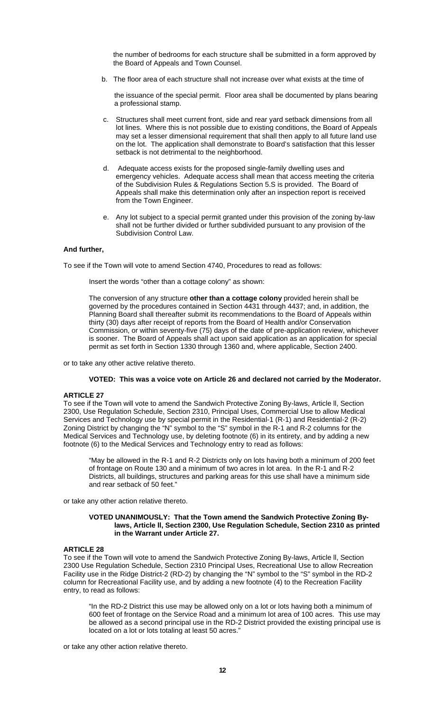the number of bedrooms for each structure shall be submitted in a form approved by the Board of Appeals and Town Counsel.

b. The floor area of each structure shall not increase over what exists at the time of

the issuance of the special permit. Floor area shall be documented by plans bearing a professional stamp.

- c. Structures shall meet current front, side and rear yard setback dimensions from all lot lines. Where this is not possible due to existing conditions, the Board of Appeals may set a lesser dimensional requirement that shall then apply to all future land use on the lot. The application shall demonstrate to Board's satisfaction that this lesser setback is not detrimental to the neighborhood.
- d. Adequate access exists for the proposed single-family dwelling uses and emergency vehicles. Adequate access shall mean that access meeting the criteria of the Subdivision Rules & Regulations Section 5.S is provided. The Board of Appeals shall make this determination only after an inspection report is received from the Town Engineer.
- e. Any lot subject to a special permit granted under this provision of the zoning by-law shall not be further divided or further subdivided pursuant to any provision of the Subdivision Control Law.

## **And further,**

To see if the Town will vote to amend Section 4740, Procedures to read as follows:

Insert the words "other than a cottage colony" as shown:

The conversion of any structure **other than a cottage colony** provided herein shall be governed by the procedures contained in Section 4431 through 4437; and, in addition, the Planning Board shall thereafter submit its recommendations to the Board of Appeals within thirty (30) days after receipt of reports from the Board of Health and/or Conservation Commission, or within seventy-five (75) days of the date of pre-application review, whichever is sooner. The Board of Appeals shall act upon said application as an application for special permit as set forth in Section 1330 through 1360 and, where applicable, Section 2400.

or to take any other active relative thereto.

### **VOTED: This was a voice vote on Article 26 and declared not carried by the Moderator.**

### **ARTICLE 27**

To see if the Town will vote to amend the Sandwich Protective Zoning By-laws, Article ll, Section 2300, Use Regulation Schedule, Section 2310, Principal Uses, Commercial Use to allow Medical Services and Technology use by special permit in the Residential-1 (R-1) and Residential-2 (R-2) Zoning District by changing the "N" symbol to the "S" symbol in the R-1 and R-2 columns for the Medical Services and Technology use, by deleting footnote (6) in its entirety, and by adding a new footnote (6) to the Medical Services and Technology entry to read as follows:

"May be allowed in the R-1 and R-2 Districts only on lots having both a minimum of 200 feet of frontage on Route 130 and a minimum of two acres in lot area. In the R-1 and R-2 Districts, all buildings, structures and parking areas for this use shall have a minimum side and rear setback of 50 feet."

or take any other action relative thereto.

## **VOTED UNANIMOUSLY: That the Town amend the Sandwich Protective Zoning Bylaws, Article ll, Section 2300, Use Regulation Schedule, Section 2310 as printed in the Warrant under Article 27.**

## **ARTICLE 28**

To see if the Town will vote to amend the Sandwich Protective Zoning By-laws, Article ll, Section 2300 Use Regulation Schedule, Section 2310 Principal Uses, Recreational Use to allow Recreation Facility use in the Ridge District-2 (RD-2) by changing the "N" symbol to the "S" symbol in the RD-2 column for Recreational Facility use, and by adding a new footnote (4) to the Recreation Facility entry, to read as follows:

"In the RD-2 District this use may be allowed only on a lot or lots having both a minimum of 600 feet of frontage on the Service Road and a minimum lot area of 100 acres. This use may be allowed as a second principal use in the RD-2 District provided the existing principal use is located on a lot or lots totaling at least 50 acres."

or take any other action relative thereto.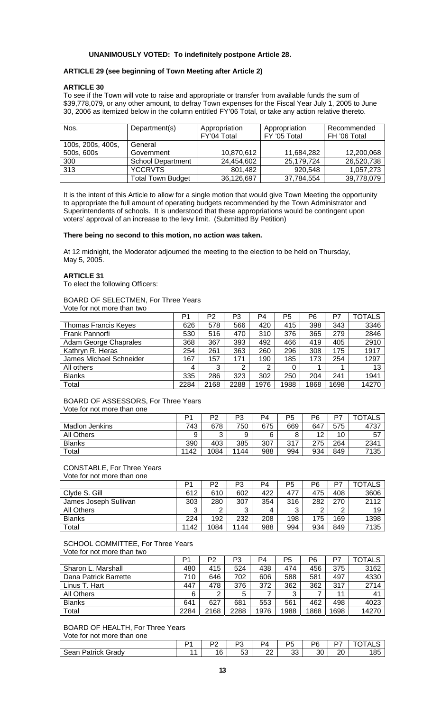## **UNANIMOUSLY VOTED: To indefinitely postpone Article 28.**

## **ARTICLE 29 (see beginning of Town Meeting after Article 2)**

### **ARTICLE 30**

To see if the Town will vote to raise and appropriate or transfer from available funds the sum of \$39,778,079, or any other amount, to defray Town expenses for the Fiscal Year July 1, 2005 to June 30, 2006 as itemized below in the column entitled FY'06 Total, or take any action relative thereto.

| Nos.              | Department(s)            | Appropriation               | Appropriation | Recommended  |
|-------------------|--------------------------|-----------------------------|---------------|--------------|
|                   |                          | FY'04 Total<br>FY '05 Total |               | FH '06 Total |
| 100s, 200s, 400s, | General                  |                             |               |              |
| 500s, 600s        | Government               | 10,870,612                  | 11,684,282    | 12,200,068   |
| 300               | <b>School Department</b> | 24,454,602                  | 25,179,724    | 26,520,738   |
| 313               | <b>YCCRVTS</b>           | 801,482                     | 920.548       | 1,057,273    |
|                   | <b>Total Town Budget</b> | 36,126,697                  | 37,784,554    | 39,778,079   |

It is the intent of this Article to allow for a single motion that would give Town Meeting the opportunity to appropriate the full amount of operating budgets recommended by the Town Administrator and Superintendents of schools. It is understood that these appropriations would be contingent upon voters' approval of an increase to the levy limit. (Submitted By Petition)

### **There being no second to this motion, no action was taken.**

At 12 midnight, the Moderator adjourned the meeting to the election to be held on Thursday, May 5, 2005.

### **ARTICLE 31**

To elect the following Officers:

### BOARD OF SELECTMEN, For Three Years Vote for not more than two

|                             | P1   | P <sub>2</sub> | P3   | P <sub>4</sub> | P <sub>5</sub> | P <sub>6</sub> | P7   | <b>TOTALS</b> |
|-----------------------------|------|----------------|------|----------------|----------------|----------------|------|---------------|
| <b>Thomas Francis Keyes</b> | 626  | 578            | 566  | 420            | 415            | 398            | 343  | 3346          |
| Frank Pannorfi              | 530  | 516            | 470  | 310            | 376            | 365            | 279  | 2846          |
| Adam George Chaprales       | 368  | 367            | 393  | 492            | 466            | 419            | 405  | 2910          |
| Kathryn R. Heras            | 254  | 261            | 363  | 260            | 296            | 308            | 175  | 1917          |
| James Michael Schneider     | 167  | 157            | 171  | 190            | 185            | 173            | 254  | 1297          |
| All others                  | 4    | 3              | 2    | 2              |                |                |      | 13            |
| <b>Blanks</b>               | 335  | 286            | 323  | 302            | 250            | 204            | 241  | 1941          |
| Total                       | 2284 | 2168           | 2288 | 1976           | 1988           | 1868           | 1698 | 14270         |

#### BOARD OF ASSESSORS, For Three Years Vote for not more than one

|                       | D1   | P2     | פס<br>ن- | P4  | P5  | P6  | D7  | TOTALS |
|-----------------------|------|--------|----------|-----|-----|-----|-----|--------|
| <b>Madlon Jenkins</b> | 743  | 678    | 750      | 675 | 669 | 647 | 575 | 4737   |
| All Others            |      | ົ<br>ບ | 9        | 6   | 8   | 12  | 10  | 57     |
| <b>Blanks</b>         | 390  | 403    | 385      | 307 | 317 | 275 | 264 | 2341   |
| Total                 | 1142 | 1084   | 1144     | 988 | 994 | 934 | 849 | 7135   |

## CONSTABLE, For Three Years

Vote for not more than one

|                       | P <sub>1</sub> | P2   | P3     | P4  | P <sub>5</sub> | P6            | P7  | <b>TOTALS</b> |
|-----------------------|----------------|------|--------|-----|----------------|---------------|-----|---------------|
| Clyde S. Gill         | 612            | 610  | 602    | 422 | 477            | 475           | 408 | 3606          |
| James Joseph Sullivan | 303            | 280  | 307    | 354 | 316            | 282           | 270 | 2112          |
| All Others            | ⌒<br>ັ         | ົ    | ◠<br>ັ | 4   | 3              | ◠<br><u>_</u> | ⌒   | 19            |
| <b>Blanks</b>         | 224            | 192  | 232    | 208 | 198            | 175           | 169 | 1398          |
| Total                 | 1142           | 1084 | 1144   | 988 | 994            | 934           | 849 | 7135          |

## SCHOOL COMMITTEE, For Three Years

Vote for not more than two

|                       | P1   | P <sub>2</sub> | P <sub>3</sub> | P <sub>4</sub> | P <sub>5</sub> | P6   | P7   | <b>TOTALS</b> |
|-----------------------|------|----------------|----------------|----------------|----------------|------|------|---------------|
| Sharon L. Marshall    | 480  | 415            | 524            | 438            | 474            | 456  | 375  | 3162          |
| Dana Patrick Barrette | 710  | 646            | 702            | 606            | 588            | 581  | 497  | 4330          |
| Linus T. Hart         | 447  | 478            | 376            | 372            | 362            | 362  | 317  | 2714          |
| <b>All Others</b>     | 6    | っ              | 5              |                | ર              |      | 11   | 41            |
| <b>Blanks</b>         | 641  | 627            | 681            | 553            | 561            | 462  | 498  | 4023          |
| Total                 | 2284 | 2168           | 2288           | 1976           | 1988           | 1868 | 1698 | 14270         |

BOARD OF HEALTH, For Three Years Vote for not more than one

|                    | no. | DC<br>u   | $\sim$<br>◡ { | DE       | ספ | $\sim$ $\sim$<br>. . | א וחדרו<br>∟∟י |
|--------------------|-----|-----------|---------------|----------|----|----------------------|----------------|
| Sean Patrick Grady | 16  | r o<br>vu | nn<br>∠∠      | २२<br>ບບ | 30 | า∩<br>۷J             | 185            |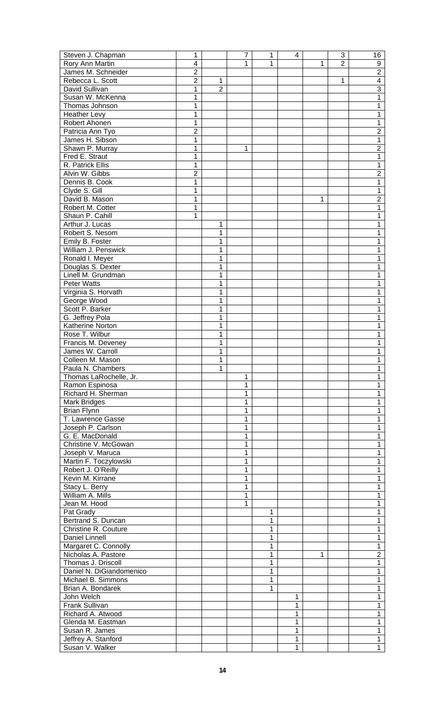| Steven J. Chapman           | 1              |                | 7 | 1 | 4 |   | 3              | 16             |
|-----------------------------|----------------|----------------|---|---|---|---|----------------|----------------|
| Rory Ann Martin             | $\overline{4}$ |                | 1 | 1 |   | 1 | $\overline{2}$ | 9              |
| James M. Schneider          | $\overline{2}$ |                |   |   |   |   |                | $\overline{2}$ |
| Rebecca L. Scott            | $\overline{2}$ | 1              |   |   |   |   | 1              | $\overline{4}$ |
| David Sullivan              | 1              | $\overline{2}$ |   |   |   |   |                | $\overline{3}$ |
| Susan W. McKenna            | 1              |                |   |   |   |   |                | 1              |
| Thomas Johnson              | 1              |                |   |   |   |   |                | 1              |
| <b>Heather Levy</b>         | 1              |                |   |   |   |   |                | 1              |
| Robert Ahonen               | 1              |                |   |   |   |   |                | 1              |
|                             | $\overline{2}$ |                |   |   |   |   |                | $\overline{2}$ |
| Patricia Ann Tyo            |                |                |   |   |   |   |                |                |
| James H. Sibson             | 1              |                |   |   |   |   |                | 1              |
| Shawn P. Murray             | 1              |                | 1 |   |   |   |                | $\overline{2}$ |
| Fred E. Straut              | 1              |                |   |   |   |   |                | 1              |
| R. Patrick Ellis            | 1              |                |   |   |   |   |                | 1              |
| Alvin W. Gibbs              | $\overline{2}$ |                |   |   |   |   |                | $\overline{2}$ |
| Dennis B. Cook              | 1              |                |   |   |   |   |                | 1              |
| Clyde S. Gill               | 1              |                |   |   |   |   |                | 1              |
| David B. Mason              | 1              |                |   |   |   | 1 |                | $\overline{2}$ |
| Robert M. Cotter            | 1              |                |   |   |   |   |                | 1              |
| Shaun P. Cahill             | 1              |                |   |   |   |   |                | 1              |
| Arthur J. Lucas             |                | 1              |   |   |   |   |                | 1              |
| Robert S. Nesom             |                | 1              |   |   |   |   |                | 1              |
| Emily B. Foster             |                | 1              |   |   |   |   |                | 1              |
|                             |                |                |   |   |   |   |                |                |
| William J. Penswick         |                | 1              |   |   |   |   |                | 1              |
| Ronald I. Meyer             |                | 1              |   |   |   |   |                | 1              |
| Douglas S. Dexter           |                | 1              |   |   |   |   |                | 1              |
| Linell M. Grundman          |                | 1              |   |   |   |   |                | 1              |
| <b>Peter Watts</b>          |                | 1              |   |   |   |   |                | 1              |
| Virginia S. Horvath         |                | 1              |   |   |   |   |                | 1              |
| George Wood                 |                | 1              |   |   |   |   |                | 1              |
| Scott P. Barker             |                | 1              |   |   |   |   |                | 1              |
| G. Jeffrey Pola             |                | 1              |   |   |   |   |                | 1              |
| Katherine Norton            |                | 1              |   |   |   |   |                | 1              |
| Rose T. Wilbur              |                | 1              |   |   |   |   |                | 1              |
| Francis M. Deveney          |                | 1              |   |   |   |   |                | 1              |
| James W. Carroll            |                | 1              |   |   |   |   |                | 1              |
| Colleen M. Mason            |                | 1              |   |   |   |   |                | 1              |
| Paula N. Chambers           |                | 1              |   |   |   |   |                | $\mathbf 1$    |
|                             |                |                |   |   |   |   |                |                |
| Thomas LaRochelle, Jr.      |                |                | 1 |   |   |   |                | 1              |
| Ramon Espinosa              |                |                | 1 |   |   |   |                | 1              |
| Richard H. Sherman          |                |                | 1 |   |   |   |                | 1              |
| Mark Bridges                |                |                | 1 |   |   |   |                | 1              |
| <b>Brian Flynn</b>          |                |                | 1 |   |   |   |                | 1              |
| T. Lawrence Gasse           |                |                | 1 |   |   |   |                | 1              |
| Joseph P. Carlson           |                |                |   |   |   |   |                | 1              |
| G. E. MacDonald             |                |                |   |   |   |   |                | 1              |
| Christine V. McGowan        |                |                |   |   |   |   |                | 1              |
| Joseph V. Maruca            |                |                |   |   |   |   |                | 1              |
| Martin F. Toczylowski       |                |                |   |   |   |   |                | 1              |
| Robert J. O'Reilly          |                |                |   |   |   |   |                | 1              |
| Kevin M. Kirrane            |                |                |   |   |   |   |                | 1              |
| Stacy L. Berry              |                |                | 1 |   |   |   |                | 1              |
| William A. Mills            |                |                | 1 |   |   |   |                | 1              |
|                             |                |                |   |   |   |   |                |                |
| Jean M. Hood                |                |                | 1 |   |   |   |                | 1              |
| Pat Grady                   |                |                |   | 1 |   |   |                | 1              |
| Bertrand S. Duncan          |                |                |   | 1 |   |   |                | 1              |
| <b>Christine R. Couture</b> |                |                |   | 1 |   |   |                | 1              |
| <b>Daniel Linnell</b>       |                |                |   | 1 |   |   |                | 1              |
| Margaret C. Connolly        |                |                |   | 1 |   |   |                | 1              |
| Nicholas A. Pastore         |                |                |   | 1 |   | 1 |                | $\overline{2}$ |
| Thomas J. Driscoll          |                |                |   | 1 |   |   |                | 1              |
| Daniel N. DiGiandomenico    |                |                |   | 1 |   |   |                | 1              |
| Michael B. Simmons          |                |                |   | 1 |   |   |                | 1              |
| Brian A. Bondarek           |                |                |   | 1 |   |   |                | 1              |
| John Welch                  |                |                |   |   | 1 |   |                | 1              |
| Frank Sullivan              |                |                |   |   | 1 |   |                | 1              |
| Richard A. Atwood           |                |                |   |   | 1 |   |                | 1              |
| Glenda M. Eastman           |                |                |   |   | 1 |   |                |                |
|                             |                |                |   |   |   |   |                | 1              |
| Susan R. James              |                |                |   |   | 1 |   |                | 1              |
| Jeffrey A. Stanford         |                |                |   |   | 1 |   |                | 1              |
| Susan V. Walker             |                |                |   |   | 1 |   |                | $\mathbf{1}$   |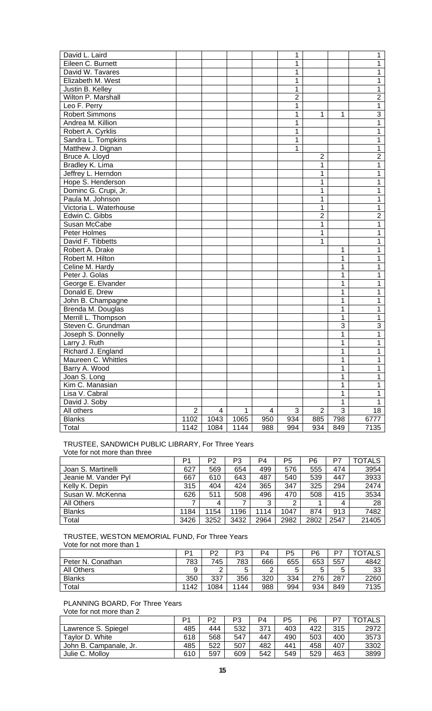| David L. Laird         |                |      |      |     | 1              |                |                | 1              |
|------------------------|----------------|------|------|-----|----------------|----------------|----------------|----------------|
| Eileen C. Burnett      |                |      |      |     | 1              |                |                | 1              |
| David W. Tavares       |                |      |      |     | 1              |                |                | 1              |
| Elizabeth M. West      |                |      |      |     | 1              |                |                | 1              |
| Justin B. Kelley       |                |      |      |     | 1              |                |                | 1              |
| Wilton P. Marshall     |                |      |      |     | $\overline{2}$ |                |                | $\overline{2}$ |
| Leo F. Perry           |                |      |      |     | 1              |                |                | $\overline{1}$ |
| <b>Robert Simmons</b>  |                |      |      |     | 1              | 1              | 1              | $\overline{3}$ |
| Andrea M. Killion      |                |      |      |     | 1              |                |                | 1              |
| Robert A. Cyrklis      |                |      |      |     | 1              |                |                | 1              |
| Sandra L. Tompkins     |                |      |      |     | 1              |                |                | 1              |
| Matthew J. Dignan      |                |      |      |     | 1              |                |                | 1              |
| Bruce A. Lloyd         |                |      |      |     |                | $\overline{2}$ |                | $\overline{2}$ |
| Bradley K. Lima        |                |      |      |     |                | 1              |                | 1              |
| Jeffrey L. Herndon     |                |      |      |     |                | $\mathbf 1$    |                | 1              |
| Hope S. Henderson      |                |      |      |     |                | $\mathbf 1$    |                | 1              |
| Dominc G. Crupi, Jr.   |                |      |      |     |                | $\mathbf 1$    |                | 1              |
| Paula M. Johnson       |                |      |      |     |                | $\mathbf 1$    |                | 1              |
| Victoria L. Waterhouse |                |      |      |     |                | $\mathbf 1$    |                | 1              |
| Edwin C. Gibbs         |                |      |      |     |                | $\overline{2}$ |                | $\overline{2}$ |
| Susan McCabe           |                |      |      |     |                | $\mathbf 1$    |                | 1              |
| Peter Holmes           |                |      |      |     |                | $\mathbf 1$    |                | 1              |
| David F. Tibbetts      |                |      |      |     |                | 1              |                | 1              |
| Robert A. Drake        |                |      |      |     |                |                | 1              | 1              |
| Robert M. Hilton       |                |      |      |     |                |                | 1              | 1              |
| Celine M. Hardy        |                |      |      |     |                |                | 1              | 1              |
| Peter J. Golas         |                |      |      |     |                |                | 1              | 1              |
| George E. Elvander     |                |      |      |     |                |                | 1              | 1              |
| Donald E. Drew         |                |      |      |     |                |                | 1              | 1              |
| John B. Champagne      |                |      |      |     |                |                | 1              | 1              |
| Brenda M. Douglas      |                |      |      |     |                |                | 1              | 1              |
| Merrill L. Thompson    |                |      |      |     |                |                | 1              | 1              |
| Steven C. Grundman     |                |      |      |     |                |                | 3              | $\sqrt{3}$     |
| Joseph S. Donnelly     |                |      |      |     |                |                | 1              | 1              |
| Larry J. Ruth          |                |      |      |     |                |                | 1              | 1              |
| Richard J. England     |                |      |      |     |                |                | 1              | 1              |
| Maureen C. Whittles    |                |      |      |     |                |                | 1              | 1              |
| Barry A. Wood          |                |      |      |     |                |                | 1              | 1              |
| Joan S. Long           |                |      |      |     |                |                | 1              | 1              |
| Kim C. Manasian        |                |      |      |     |                |                | 1              | 1              |
| Lisa V. Cabral         |                |      |      |     |                |                | 1              | 1              |
| David J. Soby          |                |      |      |     |                |                | 1              | 1              |
| All others             | $\overline{c}$ | 4    | 1    | 4   | 3              | $\mathbf{2}$   | $\overline{3}$ | 18             |
| <b>Blanks</b>          | 1102           | 1043 | 1065 | 950 | 934            | 885            | 798            | 6777           |
| Total                  | 1142           | 1084 | 1144 | 988 | 994            | 934            | 849            | 7135           |

## TRUSTEE, SANDWICH PUBLIC LIBRARY, For Three Years Vote for not more than three

|                      | P1   | P2   | P3   | P <sub>4</sub> | P5   | P6   | P7   | <b>TOTALS</b> |
|----------------------|------|------|------|----------------|------|------|------|---------------|
| Joan S. Martinelli   | 627  | 569  | 654  | 499            | 576  | 555  | 474  | 3954          |
| Jeanie M. Vander Pyl | 667  | 610  | 643  | 487            | 540  | 539  | 447  | 3933          |
| Kelly K. Depin       | 315  | 404  | 424  | 365            | 347  | 325  | 294  | 2474          |
| Susan W. McKenna     | 626  | 511  | 508  | 496            | 470  | 508  | 415  | 3534          |
| All Others           |      | 4    | ⇁    | 3              | 2    |      |      | 28            |
| <b>Blanks</b>        | 1184 | 1154 | 1196 | 1114           | 1047 | 874  | 913  | 7482          |
| Total                | 3426 | 3252 | 3432 | 2964           | 2982 | 2802 | 2547 | 21405         |

TRUSTEE, WESTON MEMORIAL FUND, For Three Years Vote for not more than 1

|                   | Þ٠   | P2     | P3   | P4         | P5     | P6     | D7  | <b>TOTALS</b> |
|-------------------|------|--------|------|------------|--------|--------|-----|---------------|
| Peter N. Conathan | 783  | 745    | 783  | 666        | 655    | 653    | 557 | 4842          |
| <b>All Others</b> |      | $\sim$ |      | $\sqrt{2}$ | ∽<br>ັ | г<br>ບ | 0   | วว<br>ບບ      |
| <b>Blanks</b>     | 350  | 337    | 356  | 320        | 334    | 276    | 287 | 2260          |
| Total             | 1142 | 1084   | 1144 | 988        | 994    | 934    | 849 | 7135          |

# PLANNING BOARD, For Three Years

Vote for not more than 2

|                        | D1  | P2  | P3  | P4  | P5  | P6  | D7  | TALS |
|------------------------|-----|-----|-----|-----|-----|-----|-----|------|
| Lawrence S. Spiegel    | 485 | 444 | 532 | 371 | 403 | 422 | 315 | 2972 |
| Taylor D. White        | 618 | 568 | 547 | 447 | 490 | 503 | 400 | 3573 |
| John B. Campanale, Jr. | 485 | 522 | 507 | 482 | 441 | 458 | 407 | 3302 |
| Julie C. Molloy        | 610 | 597 | 609 | 542 | 549 | 529 | 463 | 3899 |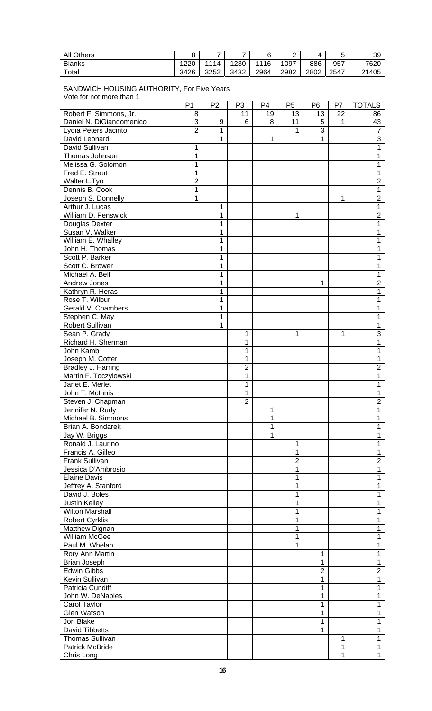| <b>All Others</b> | Ω    | -              | -    |      | ∽    |      |      | 39    |
|-------------------|------|----------------|------|------|------|------|------|-------|
| <b>Blanks</b>     | 1220 | $^{\circ}$ 114 | 1230 | 1116 | 1097 | 886  | 957  | 7620  |
| Total             | 3426 | 3252           | 3432 | 2964 | 2982 | 2802 | 2547 | 21405 |

### SANDWICH HOUSING AUTHORITY, For Five Years Vote for not more than 1

|                                         | P <sub>1</sub> | P <sub>2</sub> | P <sub>3</sub> | P <sub>4</sub> | P <sub>5</sub> | P <sub>6</sub> | P7 | <b>TOTALS</b>       |
|-----------------------------------------|----------------|----------------|----------------|----------------|----------------|----------------|----|---------------------|
| Robert F. Simmons, Jr.                  | 8              |                | 11             | 19             | 13             | 13             | 22 | 86                  |
| Daniel N. DiGiandomenico                | 3              | $\mathsf g$    | 6              | 8              | 11             | 5              | 1  | 43                  |
| Lydia Peters Jacinto                    | $\overline{2}$ | 1              |                |                | 1              | $\overline{3}$ |    | 7                   |
| David Leonardi                          |                | 1              |                | 1              |                | 1              |    | $\overline{3}$      |
| David Sullivan                          | 1              |                |                |                |                |                |    | 1                   |
| Thomas Johnson                          | 1              |                |                |                |                |                |    | 1                   |
| Melissa G. Solomon                      | 1              |                |                |                |                |                |    | 1                   |
| Fred E. Straut                          | 1              |                |                |                |                |                |    | 1                   |
| Walter L.Tyo                            | $\overline{2}$ |                |                |                |                |                |    | $\overline{2}$      |
| Dennis B. Cook                          | 1              |                |                |                |                |                |    | 1                   |
| Joseph S. Donnelly                      | 1              |                |                |                |                |                | 1  | $\overline{2}$      |
| Arthur J. Lucas                         |                | 1              |                |                |                |                |    | $\mathbf{1}$        |
| William D. Penswick                     |                | 1              |                |                | 1              |                |    | $\overline{2}$      |
| Douglas Dexter                          |                | 1              |                |                |                |                |    | 1                   |
| Susan V. Walker                         |                | 1              |                |                |                |                |    | 1                   |
| William E. Whalley                      |                | 1              |                |                |                |                |    | 1                   |
| John H. Thomas                          |                | 1              |                |                |                |                |    | 1                   |
| Scott P. Barker                         |                | 1              |                |                |                |                |    | 1                   |
| Scott C. Brower                         |                | 1              |                |                |                |                |    | 1                   |
| Michael A. Bell                         |                | 1              |                |                |                |                |    | 1                   |
| Andrew Jones                            |                | 1              |                |                |                | 1              |    | $\overline{2}$      |
| Kathryn R. Heras                        |                | 1              |                |                |                |                |    | 1                   |
| Rose T. Wilbur                          |                | 1              |                |                |                |                |    | 1                   |
| Gerald V. Chambers                      |                | 1              |                |                |                |                |    | 1                   |
| Stephen C. May                          |                | 1              |                |                |                |                |    | 1                   |
| Robert Sullivan                         |                | 1              |                |                |                |                |    | 1                   |
| Sean P. Grady                           |                |                | 1              |                | 1              |                | 1  | $\overline{3}$      |
| Richard H. Sherman                      |                |                | 1              |                |                |                |    | 1                   |
| John Kamb                               |                |                | 1              |                |                |                |    | 1                   |
| Joseph M. Cotter                        |                |                | 1              |                |                |                |    | 1                   |
| Bradley J. Harring                      |                |                | $\overline{2}$ |                |                |                |    | $\overline{2}$      |
| Martin F. Toczylowski                   |                |                | 1              |                |                |                |    | 1                   |
| Janet E. Merlet                         |                |                | 1              |                |                |                |    | 1                   |
| John T. McInnis                         |                |                | 1              |                |                |                |    | $\mathbf 1$         |
| Steven J. Chapman                       |                |                | $\overline{2}$ |                |                |                |    | $\overline{2}$<br>1 |
| Jennifer N. Rudy                        |                |                |                | 1              |                |                |    |                     |
| Michael B. Simmons<br>Brian A. Bondarek |                |                |                | 1<br>1         |                |                |    | 1<br>1              |
| Jay W. Briggs                           |                |                |                | 1              |                |                |    | 1                   |
| Ronald J. Laurino                       |                |                |                |                | 1              |                |    | 1                   |
| Francis A. Gilleo                       |                |                |                |                | 1              |                |    | 1                   |
| <b>Frank Sullivan</b>                   |                |                |                |                | $\overline{2}$ |                |    | $\overline{2}$      |
| Jessica D'Ambrosio                      |                |                |                |                | 1              |                |    | 1                   |
| <b>Elaine Davis</b>                     |                |                |                |                | 1              |                |    | 1                   |
| Jeffrey A. Stanford                     |                |                |                |                | 1              |                |    | 1                   |
| David J. Boles                          |                |                |                |                | 1              |                |    | 1                   |
| <b>Justin Kelley</b>                    |                |                |                |                | 1              |                |    | 1                   |
| <b>Wilton Marshall</b>                  |                |                |                |                | 1              |                |    | 1                   |
| <b>Robert Cyrklis</b>                   |                |                |                |                | 1              |                |    | 1                   |
| Matthew Dignan                          |                |                |                |                | 1              |                |    | 1                   |
| <b>William McGee</b>                    |                |                |                |                | 1              |                |    | 1                   |
| Paul M. Whelan                          |                |                |                |                | 1              |                |    | 1                   |
| Rory Ann Martin                         |                |                |                |                |                | 1              |    | 1                   |
| Brian Joseph                            |                |                |                |                |                | 1              |    | 1                   |
| <b>Edwin Gibbs</b>                      |                |                |                |                |                | $\overline{2}$ |    | $\overline{2}$      |
| Kevin Sullivan                          |                |                |                |                |                | 1              |    | 1                   |
| Patricia Cundiff                        |                |                |                |                |                | 1              |    | 1                   |
| John W. DeNaples                        |                |                |                |                |                | 1              |    | 1                   |
| Carol Taylor                            |                |                |                |                |                | 1              |    | 1                   |
| Glen Watson                             |                |                |                |                |                | 1              |    | 1                   |
| Jon Blake                               |                |                |                |                |                | 1              |    | 1                   |
| <b>David Tibbetts</b>                   |                |                |                |                |                | 1              |    | 1                   |
| <b>Thomas Sullivan</b>                  |                |                |                |                |                |                | 1  | 1                   |
| <b>Patrick McBride</b>                  |                |                |                |                |                |                | 1  | 1                   |
| Chris Long                              |                |                |                |                |                |                | 1  | $\overline{1}$      |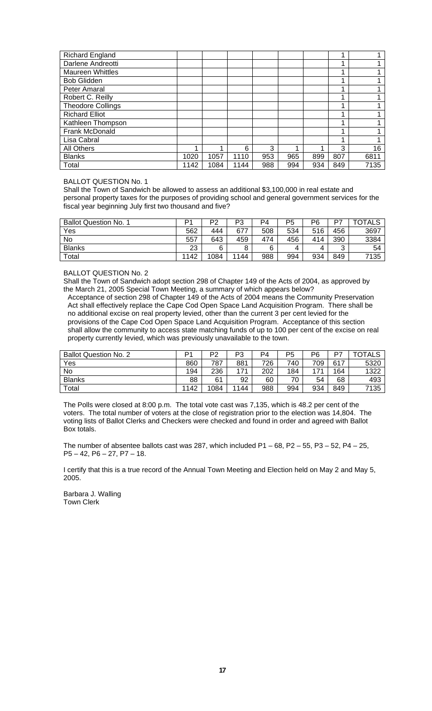| <b>Richard England</b>   |      |      |      |     |     |     |     |      |
|--------------------------|------|------|------|-----|-----|-----|-----|------|
| Darlene Andreotti        |      |      |      |     |     |     | ◢   |      |
| <b>Maureen Whittles</b>  |      |      |      |     |     |     |     |      |
| <b>Bob Glidden</b>       |      |      |      |     |     |     | 4   |      |
| Peter Amaral             |      |      |      |     |     |     |     |      |
| Robert C. Reilly         |      |      |      |     |     |     |     |      |
| <b>Theodore Collings</b> |      |      |      |     |     |     |     |      |
| <b>Richard Elliot</b>    |      |      |      |     |     |     | 4   |      |
| Kathleen Thompson        |      |      |      |     |     |     |     |      |
| Frank McDonald           |      |      |      |     |     |     | ◢   |      |
| Lisa Cabral              |      |      |      |     |     |     |     |      |
| All Others               |      |      | 6    | 3   | ◢   |     | 3   | 16   |
| <b>Blanks</b>            | 1020 | 1057 | 1110 | 953 | 965 | 899 | 807 | 6811 |
| Total                    | 1142 | 1084 | 1144 | 988 | 994 | 934 | 849 | 7135 |

BALLOT QUESTION No. 1

Shall the Town of Sandwich be allowed to assess an additional \$3,100,000 in real estate and personal property taxes for the purposes of providing school and general government services for the fiscal year beginning July first two thousand and five?

| <b>Ballot Question No. 1</b> | D1   | P2   | P3   | P4  | P5  | P6  | D7  | TOTALS |
|------------------------------|------|------|------|-----|-----|-----|-----|--------|
| Yes                          | 562  | 444  | 677  | 508 | 534 | 516 | 456 | 3697   |
| No                           | 557  | 643  | 459  | 474 | 456 | 414 | 390 | 3384   |
| <b>Blanks</b>                | 23   | 6    | 8    | 6   | 4   | 4   | ົ   | 54     |
| Total                        | 1142 | 1084 | 1144 | 988 | 994 | 934 | 849 | 7135   |

BALLOT QUESTION No. 2

Shall the Town of Sandwich adopt section 298 of Chapter 149 of the Acts of 2004, as approved by the March 21, 2005 Special Town Meeting, a summary of which appears below?

Acceptance of section 298 of Chapter 149 of the Acts of 2004 means the Community Preservation Act shall effectively replace the Cape Cod Open Space Land Acquisition Program. There shall be no additional excise on real property levied, other than the current 3 per cent levied for the provisions of the Cape Cod Open Space Land Acquisition Program. Acceptance of this section shall allow the community to access state matching funds of up to 100 per cent of the excise on real property currently levied, which was previously unavailable to the town.

| <b>Ballot Question No. 2</b> | D <sub>1</sub> | D2   | D٩<br>د. | P4  | P <sub>5</sub> | P6  | D7  | TOTALS |
|------------------------------|----------------|------|----------|-----|----------------|-----|-----|--------|
| Yes                          | 860            | 787  | 881      | 726 | 740            | 709 | 617 | 5320   |
| No                           | 194            | 236  | 171      | 202 | 184            | 171 | 164 | 1322   |
| <b>Blanks</b>                | 88             | 61   | 92       | 60  | 70             | 54  | 68  | 493    |
| Total                        | 1142           | 1084 | 1144     | 988 | 994            | 934 | 849 | 7135   |

The Polls were closed at 8:00 p.m. The total vote cast was 7,135, which is 48.2 per cent of the voters. The total number of voters at the close of registration prior to the election was 14,804. The voting lists of Ballot Clerks and Checkers were checked and found in order and agreed with Ballot Box totals.

The number of absentee ballots cast was 287, which included  $P1 - 68$ ,  $P2 - 55$ ,  $P3 - 52$ ,  $P4 - 25$ , P5 – 42, P6 – 27, P7 – 18.

I certify that this is a true record of the Annual Town Meeting and Election held on May 2 and May 5, 2005.

Barbara J. Walling Town Clerk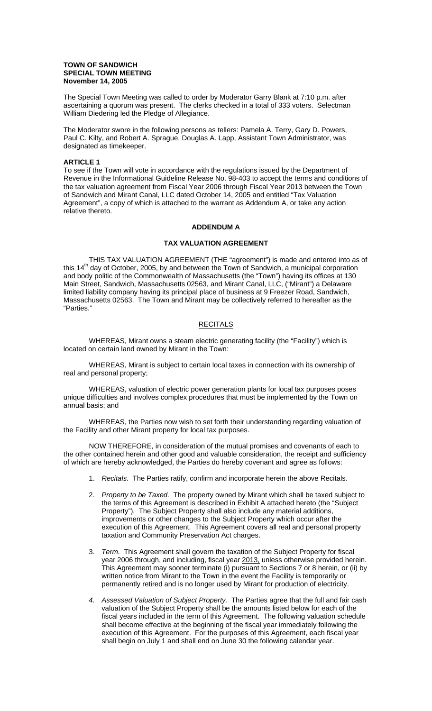### **TOWN OF SANDWICH SPECIAL TOWN MEETING November 14, 2005**

The Special Town Meeting was called to order by Moderator Garry Blank at 7:10 p.m. after ascertaining a quorum was present. The clerks checked in a total of 333 voters. Selectman William Diedering led the Pledge of Allegiance.

The Moderator swore in the following persons as tellers: Pamela A. Terry, Gary D. Powers, Paul C. Kilty, and Robert A. Sprague. Douglas A. Lapp, Assistant Town Administrator, was designated as timekeeper.

### **ARTICLE 1**

To see if the Town will vote in accordance with the regulations issued by the Department of Revenue in the Informational Guideline Release No. 98-403 to accept the terms and conditions of the tax valuation agreement from Fiscal Year 2006 through Fiscal Year 2013 between the Town of Sandwich and Mirant Canal, LLC dated October 14, 2005 and entitled "Tax Valuation Agreement", a copy of which is attached to the warrant as Addendum A, or take any action relative thereto.

### **ADDENDUM A**

## **TAX VALUATION AGREEMENT**

 THIS TAX VALUATION AGREEMENT (THE "agreement") is made and entered into as of this 14<sup>th</sup> day of October, 2005, by and between the Town of Sandwich, a municipal corporation and body politic of the Commonwealth of Massachusetts (the "Town") having its offices at 130 Main Street, Sandwich, Massachusetts 02563, and Mirant Canal, LLC, ("Mirant") a Delaware limited liability company having its principal place of business at 9 Freezer Road, Sandwich, Massachusetts 02563. The Town and Mirant may be collectively referred to hereafter as the "Parties."

### **RECITALS**

 WHEREAS, Mirant owns a steam electric generating facility (the "Facility") which is located on certain land owned by Mirant in the Town:

 WHEREAS, Mirant is subject to certain local taxes in connection with its ownership of real and personal property;

 WHEREAS, valuation of electric power generation plants for local tax purposes poses unique difficulties and involves complex procedures that must be implemented by the Town on annual basis; and

 WHEREAS, the Parties now wish to set forth their understanding regarding valuation of the Facility and other Mirant property for local tax purposes.

 NOW THEREFORE, in consideration of the mutual promises and covenants of each to the other contained herein and other good and valuable consideration, the receipt and sufficiency of which are hereby acknowledged, the Parties do hereby covenant and agree as follows:

- 1. *Recitals.* The Parties ratify, confirm and incorporate herein the above Recitals.
- 2. *Property to be Taxed.* The property owned by Mirant which shall be taxed subject to the terms of this Agreement is described in Exhibit A attached hereto (the "Subject Property"). The Subject Property shall also include any material additions, improvements or other changes to the Subject Property which occur after the execution of this Agreement. This Agreement covers all real and personal property taxation and Community Preservation Act charges.
- 3. *Term.* This Agreement shall govern the taxation of the Subject Property for fiscal year 2006 through, and including, fiscal year 2013, unless otherwise provided herein. This Agreement may sooner terminate (i) pursuant to Sections 7 or 8 herein, or (ii) by written notice from Mirant to the Town in the event the Facility is temporarily or permanently retired and is no longer used by Mirant for production of electricity.
- *4. Assessed Valuation of Subject Property.* The Parties agree that the full and fair cash valuation of the Subject Property shall be the amounts listed below for each of the fiscal years included in the term of this Agreement. The following valuation schedule shall become effective at the beginning of the fiscal year immediately following the execution of this Agreement. For the purposes of this Agreement, each fiscal year shall begin on July 1 and shall end on June 30 the following calendar year.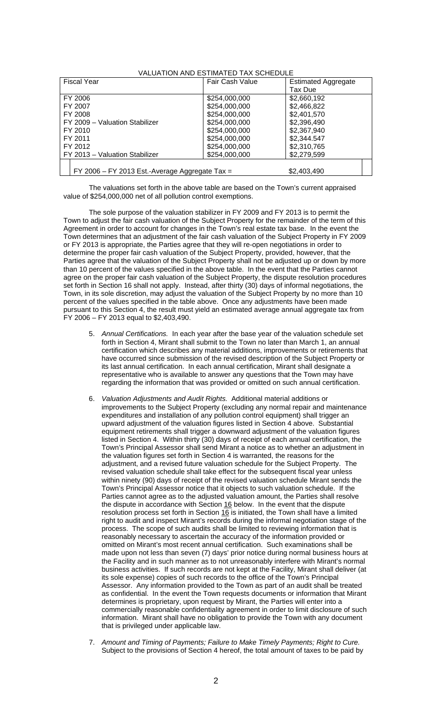| VALUATION AND ESTIMATED TAX SCHEDULE             |                        |                            |  |  |  |  |  |
|--------------------------------------------------|------------------------|----------------------------|--|--|--|--|--|
| <b>Fiscal Year</b>                               | <b>Fair Cash Value</b> | <b>Estimated Aggregate</b> |  |  |  |  |  |
|                                                  |                        | Tax Due                    |  |  |  |  |  |
| FY 2006                                          | \$254,000,000          | \$2,660,192                |  |  |  |  |  |
| FY 2007                                          | \$254,000,000          | \$2,466,822                |  |  |  |  |  |
| FY 2008                                          | \$254,000,000          | \$2,401,570                |  |  |  |  |  |
| FY 2009 - Valuation Stabilizer                   | \$254,000,000          | \$2,396,490                |  |  |  |  |  |
| FY 2010                                          | \$254,000,000          | \$2,367,940                |  |  |  |  |  |
| FY 2011                                          | \$254,000,000          | \$2,344.547                |  |  |  |  |  |
| FY 2012                                          | \$254,000,000          | \$2,310,765                |  |  |  |  |  |
| FY 2013 - Valuation Stabilizer                   | \$254,000,000          | \$2,279,599                |  |  |  |  |  |
|                                                  |                        |                            |  |  |  |  |  |
| $FY$ 2006 – FY 2013 Est.-Average Aggregate Tax = |                        | \$2,403,490                |  |  |  |  |  |

 The valuations set forth in the above table are based on the Town's current appraised value of \$254,000,000 net of all pollution control exemptions.

 The sole purpose of the valuation stabilizer in FY 2009 and FY 2013 is to permit the Town to adjust the fair cash valuation of the Subject Property for the remainder of the term of this Agreement in order to account for changes in the Town's real estate tax base. In the event the Town determines that an adjustment of the fair cash valuation of the Subject Property in FY 2009 or FY 2013 is appropriate, the Parties agree that they will re-open negotiations in order to determine the proper fair cash valuation of the Subject Property, provided, however, that the Parties agree that the valuation of the Subject Property shall not be adjusted up or down by more than 10 percent of the values specified in the above table. In the event that the Parties cannot agree on the proper fair cash valuation of the Subject Property, the dispute resolution procedures set forth in Section 16 shall not apply. Instead, after thirty (30) days of informal negotiations, the Town, in its sole discretion, may adjust the valuation of the Subject Property by no more than 10 percent of the values specified in the table above. Once any adjustments have been made pursuant to this Section 4, the result must yield an estimated average annual aggregate tax from FY 2006 – FY 2013 equal to \$2,403,490.

- 5. *Annual Certifications.* In each year after the base year of the valuation schedule set forth in Section 4, Mirant shall submit to the Town no later than March 1, an annual certification which describes any material additions, improvements or retirements that have occurred since submission of the revised description of the Subject Property or its last annual certification. In each annual certification, Mirant shall designate a representative who is available to answer any questions that the Town may have regarding the information that was provided or omitted on such annual certification.
- 6. *Valuation Adjustments and Audit Rights.* Additional material additions or improvements to the Subject Property (excluding any normal repair and maintenance expenditures and installation of any pollution control equipment) shall trigger an upward adjustment of the valuation figures listed in Section 4 above. Substantial equipment retirements shall trigger a downward adjustment of the valuation figures listed in Section 4. Within thirty (30) days of receipt of each annual certification, the Town's Principal Assessor shall send Mirant a notice as to whether an adjustment in the valuation figures set forth in Section 4 is warranted, the reasons for the adjustment, and a revised future valuation schedule for the Subject Property. The revised valuation schedule shall take effect for the subsequent fiscal year unless within ninety (90) days of receipt of the revised valuation schedule Mirant sends the Town's Principal Assessor notice that it objects to such valuation schedule. If the Parties cannot agree as to the adjusted valuation amount, the Parties shall resolve the dispute in accordance with Section 16 below. In the event that the dispute resolution process set forth in Section 16 is initiated, the Town shall have a limited right to audit and inspect Mirant's records during the informal negotiation stage of the process. The scope of such audits shall be limited to reviewing information that is reasonably necessary to ascertain the accuracy of the information provided or omitted on Mirant's most recent annual certification. Such examinations shall be made upon not less than seven (7) days' prior notice during normal business hours at the Facility and in such manner as to not unreasonably interfere with Mirant's normal business activities. If such records are not kept at the Facility, Mirant shall deliver (at its sole expense) copies of such records to the office of the Town's Principal Assessor. Any information provided to the Town as part of an audit shall be treated as confidential. In the event the Town requests documents or information that Mirant determines is proprietary, upon request by Mirant, the Parties will enter into a commercially reasonable confidentiality agreement in order to limit disclosure of such information. Mirant shall have no obligation to provide the Town with any document that is privileged under applicable law.
- 7. *Amount and Timing of Payments; Failure to Make Timely Payments; Right to Cure.* Subject to the provisions of Section 4 hereof, the total amount of taxes to be paid by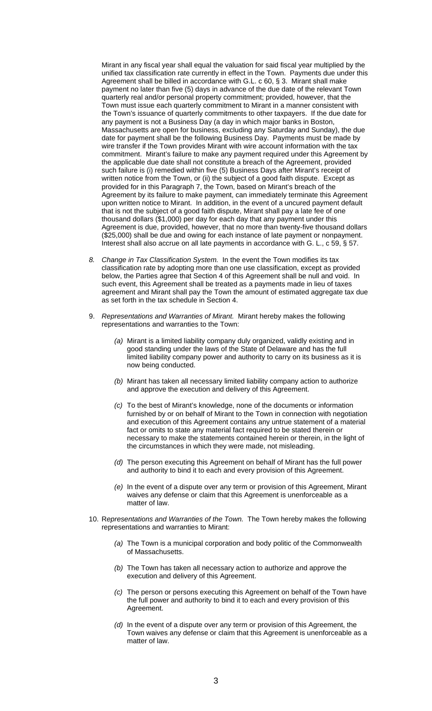Mirant in any fiscal year shall equal the valuation for said fiscal year multiplied by the unified tax classification rate currently in effect in the Town. Payments due under this Agreement shall be billed in accordance with G.L. c 60, § 3. Mirant shall make payment no later than five (5) days in advance of the due date of the relevant Town quarterly real and/or personal property commitment; provided, however, that the Town must issue each quarterly commitment to Mirant in a manner consistent with the Town's issuance of quarterly commitments to other taxpayers. If the due date for any payment is not a Business Day (a day in which major banks in Boston, Massachusetts are open for business, excluding any Saturday and Sunday), the due date for payment shall be the following Business Day. Payments must be made by wire transfer if the Town provides Mirant with wire account information with the tax commitment. Mirant's failure to make any payment required under this Agreement by the applicable due date shall not constitute a breach of the Agreement, provided such failure is (i) remedied within five (5) Business Days after Mirant's receipt of written notice from the Town, or (ii) the subject of a good faith dispute. Except as provided for in this Paragraph 7, the Town, based on Mirant's breach of the Agreement by its failure to make payment, can immediately terminate this Agreement upon written notice to Mirant. In addition, in the event of a uncured payment default that is not the subject of a good faith dispute, Mirant shall pay a late fee of one thousand dollars (\$1,000) per day for each day that any payment under this Agreement is due, provided, however, that no more than twenty-five thousand dollars (\$25,000) shall be due and owing for each instance of late payment or nonpayment. Interest shall also accrue on all late payments in accordance with G. L., c 59, § 57.

- *8. Change in Tax Classification System.* In the event the Town modifies its tax classification rate by adopting more than one use classification, except as provided below, the Parties agree that Section 4 of this Agreement shall be null and void. In such event, this Agreement shall be treated as a payments made in lieu of taxes agreement and Mirant shall pay the Town the amount of estimated aggregate tax due as set forth in the tax schedule in Section 4.
- 9. *Representations and Warranties of Mirant.* Mirant hereby makes the following representations and warranties to the Town:
	- *(a)* Mirant is a limited liability company duly organized, validly existing and in good standing under the laws of the State of Delaware and has the full limited liability company power and authority to carry on its business as it is now being conducted.
	- *(b)* Mirant has taken all necessary limited liability company action to authorize and approve the execution and delivery of this Agreement.
	- *(c)* To the best of Mirant's knowledge, none of the documents or information furnished by or on behalf of Mirant to the Town in connection with negotiation and execution of this Agreement contains any untrue statement of a material fact or omits to state any material fact required to be stated therein or necessary to make the statements contained herein or therein, in the light of the circumstances in which they were made, not misleading.
	- *(d)* The person executing this Agreement on behalf of Mirant has the full power and authority to bind it to each and every provision of this Agreement.
	- *(e)* In the event of a dispute over any term or provision of this Agreement, Mirant waives any defense or claim that this Agreement is unenforceable as a matter of law.
- 10. R*epresentations and Warranties of the Town.* The Town hereby makes the following representations and warranties to Mirant:
	- *(a)* The Town is a municipal corporation and body politic of the Commonwealth of Massachusetts.
	- *(b)* The Town has taken all necessary action to authorize and approve the execution and delivery of this Agreement.
	- *(c)* The person or persons executing this Agreement on behalf of the Town have the full power and authority to bind it to each and every provision of this Agreement.
	- *(d)* In the event of a dispute over any term or provision of this Agreement, the Town waives any defense or claim that this Agreement is unenforceable as a matter of law.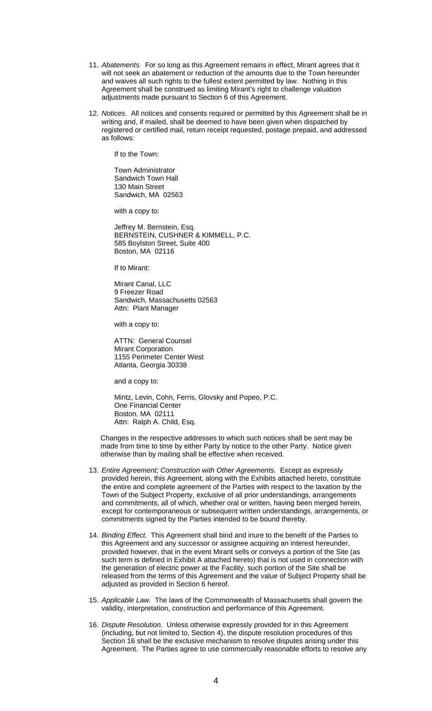- 11. *Abatements.* For so long as this Agreement remains in effect, Mirant agrees that it will not seek an abatement or reduction of the amounts due to the Town hereunder and waives all such rights to the fullest extent permitted by law. Nothing in this Agreement shall be construed as limiting Mirant's right to challenge valuation adjustments made pursuant to Section 6 of this Agreement.
- 12. *Notices.* All notices and consents required or permitted by this Agreement shall be in writing and, if mailed, shall be deemed to have been given when dispatched by registered or certified mail, return receipt requested, postage prepaid, and addressed as follows:

If to the Town:

 Town Administrator Sandwich Town Hall 130 Main Street Sandwich, MA 02563

with a copy to:

 Jeffrey M. Bernstein, Esq. BERNSTEIN, CUSHNER & KIMMELL, P.C. 585 Boylston Street, Suite 400 Boston, MA 02116

If to Mirant:

 Mirant Canal, LLC 9 Freezer Road Sandwich, Massachusetts 02563 Attn: Plant Manager

with a copy to:

 ATTN: General Counsel Mirant Corporation 1155 Perimeter Center West Atlanta, Georgia 30338

and a copy to:

Mintz, Levin, Cohn, Ferris, Glovsky and Popeo, P.C. One Financial Center Boston, MA 02111 Attn: Ralph A. Child, Esq.

 Changes in the respective addresses to which such notices shall be sent may be made from time to time by either Party by notice to the other Party. Notice given otherwise than by mailing shall be effective when received.

- 13. *Entire Agreement; Construction with Other Agreements.* Except as expressly provided herein, this Agreement, along with the Exhibits attached hereto, constitute the entire and complete agreement of the Parties with respect to the taxation by the Town of the Subject Property, exclusive of all prior understandings, arrangements and commitments, all of which, whether oral or written, having been merged herein, except for contemporaneous or subsequent written understandings, arrangements, or commitments signed by the Parties intended to be bound thereby.
- 14. *Binding Effect.* This Agreement shall bind and inure to the benefit of the Parties to this Agreement and any successor or assignee acquiring an interest hereunder, provided however, that in the event Mirant sells or conveys a portion of the Site (as such term is defined in Exhibit A attached hereto) that is not used in connection with the generation of electric power at the Facility, such portion of the Site shall be released from the terms of this Agreement and the value of Subject Property shall be adjusted as provided in Section 6 hereof.
- 15. *Applicable Law.* The laws of the Commonwealth of Massachusetts shall govern the validity, interpretation, construction and performance of this Agreement.
- 16. *Dispute Resolution.* Unless otherwise expressly provided for in this Agreement (including, but not limited to, Section 4), the dispute resolution procedures of this Section 16 shall be the exclusive mechanism to resolve disputes arising under this Agreement. The Parties agree to use commercially reasonable efforts to resolve any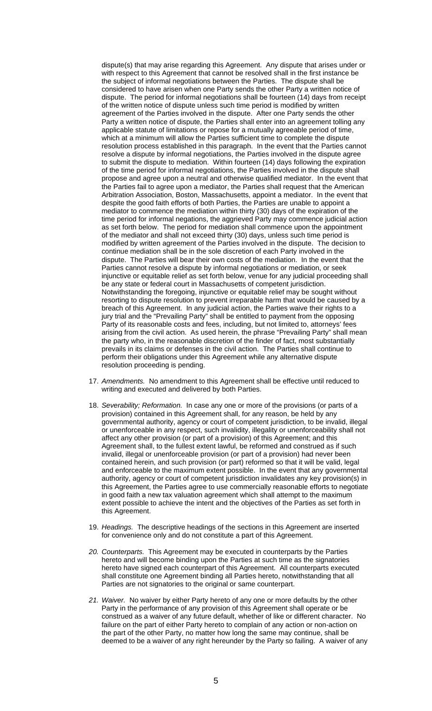dispute(s) that may arise regarding this Agreement. Any dispute that arises under or with respect to this Agreement that cannot be resolved shall in the first instance be the subject of informal negotiations between the Parties. The dispute shall be considered to have arisen when one Party sends the other Party a written notice of dispute. The period for informal negotiations shall be fourteen (14) days from receipt of the written notice of dispute unless such time period is modified by written agreement of the Parties involved in the dispute. After one Party sends the other Party a written notice of dispute, the Parties shall enter into an agreement tolling any applicable statute of limitations or repose for a mutually agreeable period of time, which at a minimum will allow the Parties sufficient time to complete the dispute resolution process established in this paragraph. In the event that the Parties cannot resolve a dispute by informal negotiations, the Parties involved in the dispute agree to submit the dispute to mediation. Within fourteen (14) days following the expiration of the time period for informal negotiations, the Parties involved in the dispute shall propose and agree upon a neutral and otherwise qualified mediator. In the event that the Parties fail to agree upon a mediator, the Parties shall request that the American Arbitration Association, Boston, Massachusetts, appoint a mediator. In the event that despite the good faith efforts of both Parties, the Parties are unable to appoint a mediator to commence the mediation within thirty (30) days of the expiration of the time period for informal negations, the aggrieved Party may commence judicial action as set forth below. The period for mediation shall commence upon the appointment of the mediator and shall not exceed thirty (30) days, unless such time period is modified by written agreement of the Parties involved in the dispute. The decision to continue mediation shall be in the sole discretion of each Party involved in the dispute. The Parties will bear their own costs of the mediation. In the event that the Parties cannot resolve a dispute by informal negotiations or mediation, or seek injunctive or equitable relief as set forth below, venue for any judicial proceeding shall be any state or federal court in Massachusetts of competent jurisdiction. Notwithstanding the foregoing, injunctive or equitable relief may be sought without resorting to dispute resolution to prevent irreparable harm that would be caused by a breach of this Agreement. In any judicial action, the Parties waive their rights to a jury trial and the "Prevailing Party" shall be entitled to payment from the opposing Party of its reasonable costs and fees, including, but not limited to, attorneys' fees arising from the civil action. As used herein, the phrase "Prevailing Party" shall mean the party who, in the reasonable discretion of the finder of fact, most substantially prevails in its claims or defenses in the civil action. The Parties shall continue to perform their obligations under this Agreement while any alternative dispute resolution proceeding is pending.

- 17. *Amendments.* No amendment to this Agreement shall be effective until reduced to writing and executed and delivered by both Parties.
- 18. *Severability; Reformation.* In case any one or more of the provisions (or parts of a provision) contained in this Agreement shall, for any reason, be held by any governmental authority, agency or court of competent jurisdiction, to be invalid, illegal or unenforceable in any respect, such invalidity, illegality or unenforceability shall not affect any other provision (or part of a provision) of this Agreement; and this Agreement shall, to the fullest extent lawful, be reformed and construed as if such invalid, illegal or unenforceable provision (or part of a provision) had never been contained herein, and such provision (or part) reformed so that it will be valid, legal and enforceable to the maximum extent possible. In the event that any governmental authority, agency or court of competent jurisdiction invalidates any key provision(s) in this Agreement, the Parties agree to use commercially reasonable efforts to negotiate in good faith a new tax valuation agreement which shall attempt to the maximum extent possible to achieve the intent and the objectives of the Parties as set forth in this Agreement.
- 19. *Headings.* The descriptive headings of the sections in this Agreement are inserted for convenience only and do not constitute a part of this Agreement.
- *20. Counterparts.* This Agreement may be executed in counterparts by the Parties hereto and will become binding upon the Parties at such time as the signatories hereto have signed each counterpart of this Agreement. All counterparts executed shall constitute one Agreement binding all Parties hereto, notwithstanding that all Parties are not signatories to the original or same counterpart.
- *21. Waiver.* No waiver by either Party hereto of any one or more defaults by the other Party in the performance of any provision of this Agreement shall operate or be construed as a waiver of any future default, whether of like or different character. No failure on the part of either Party hereto to complain of any action or non-action on the part of the other Party, no matter how long the same may continue, shall be deemed to be a waiver of any right hereunder by the Party so failing. A waiver of any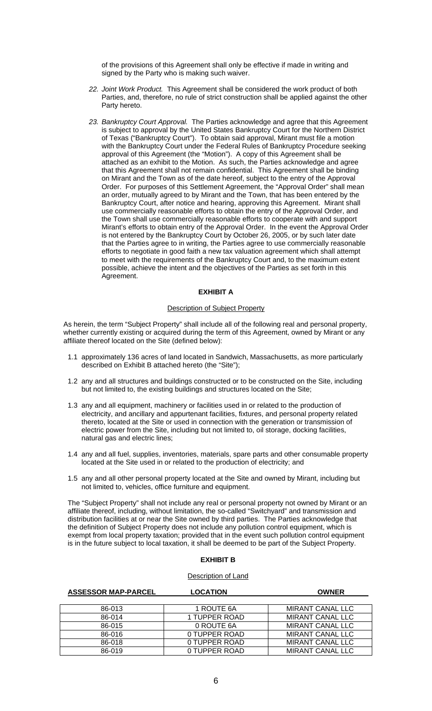of the provisions of this Agreement shall only be effective if made in writing and signed by the Party who is making such waiver.

- *22. Joint Work Product.* This Agreement shall be considered the work product of both Parties, and, therefore, no rule of strict construction shall be applied against the other Party hereto.
- *23. Bankruptcy Court Approval.* The Parties acknowledge and agree that this Agreement is subject to approval by the United States Bankruptcy Court for the Northern District of Texas ("Bankruptcy Court"). To obtain said approval, Mirant must file a motion with the Bankruptcy Court under the Federal Rules of Bankruptcy Procedure seeking approval of this Agreement (the "Motion"). A copy of this Agreement shall be attached as an exhibit to the Motion. As such, the Parties acknowledge and agree that this Agreement shall not remain confidential. This Agreement shall be binding on Mirant and the Town as of the date hereof, subject to the entry of the Approval Order. For purposes of this Settlement Agreement, the "Approval Order" shall mean an order, mutually agreed to by Mirant and the Town, that has been entered by the Bankruptcy Court, after notice and hearing, approving this Agreement. Mirant shall use commercially reasonable efforts to obtain the entry of the Approval Order, and the Town shall use commercially reasonable efforts to cooperate with and support Mirant's efforts to obtain entry of the Approval Order. In the event the Approval Order is not entered by the Bankruptcy Court by October 26, 2005, or by such later date that the Parties agree to in writing, the Parties agree to use commercially reasonable efforts to negotiate in good faith a new tax valuation agreement which shall attempt to meet with the requirements of the Bankruptcy Court and, to the maximum extent possible, achieve the intent and the objectives of the Parties as set forth in this Agreement.

### **EXHIBIT A**

## Description of Subject Property

As herein, the term "Subject Property" shall include all of the following real and personal property, whether currently existing or acquired during the term of this Agreement, owned by Mirant or any affiliate thereof located on the Site (defined below):

- 1.1 approximately 136 acres of land located in Sandwich, Massachusetts, as more particularly described on Exhibit B attached hereto (the "Site");
- 1.2 any and all structures and buildings constructed or to be constructed on the Site, including but not limited to, the existing buildings and structures located on the Site;
- 1.3 any and all equipment, machinery or facilities used in or related to the production of electricity, and ancillary and appurtenant facilities, fixtures, and personal property related thereto, located at the Site or used in connection with the generation or transmission of electric power from the Site, including but not limited to, oil storage, docking facilities, natural gas and electric lines;
- 1.4 any and all fuel, supplies, inventories, materials, spare parts and other consumable property located at the Site used in or related to the production of electricity; and
- 1.5 any and all other personal property located at the Site and owned by Mirant, including but not limited to, vehicles, office furniture and equipment.

The "Subject Property" shall not include any real or personal property not owned by Mirant or an affiliate thereof, including, without limitation, the so-called "Switchyard" and transmission and distribution facilities at or near the Site owned by third parties. The Parties acknowledge that the definition of Subject Property does not include any pollution control equipment, which is exempt from local property taxation; provided that in the event such pollution control equipment is in the future subject to local taxation, it shall be deemed to be part of the Subject Property.

## **EXHIBIT B**

### Description of Land

## **ASSESSOR MAP-PARCEL LOCATION OWNER**  86-013 1 ROUTE 6A MIRANT CANAL LLC<br>86-014 1 TUPPER ROAD MIRANT CANAL LLC 1 TUPPER ROAD MIRANT CANAL LLC 86-015 0 ROUTE 6A MIRANT CANAL LLC 86-016 0 TUPPER ROAD MIRANT CANAL LLC 86-018 0 TUPPER ROAD MIRANT CANAL LLC<br>86-019 0 TUPPER ROAD MIRANT CANAL LLC 0 TUPPER ROAD MIRANT CANAL LLC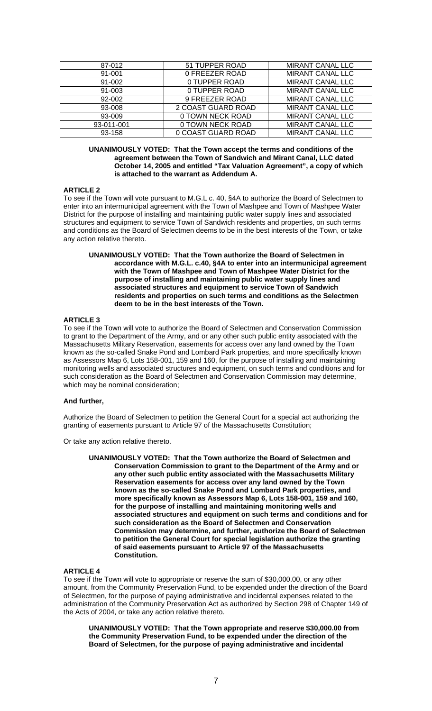| 87-012     | 51 TUPPER ROAD     | <b>MIRANT CANAL LLC</b> |
|------------|--------------------|-------------------------|
| 91-001     | 0 FREEZER ROAD     | <b>MIRANT CANAL LLC</b> |
| 91-002     | 0 TUPPER ROAD      | <b>MIRANT CANAL LLC</b> |
| 91-003     | 0 TUPPER ROAD      | <b>MIRANT CANAL LLC</b> |
| 92-002     | 9 FREEZER ROAD     | <b>MIRANT CANAL LLC</b> |
| 93-008     | 2 COAST GUARD ROAD | <b>MIRANT CANAL LLC</b> |
| 93-009     | 0 TOWN NECK ROAD   | <b>MIRANT CANAL LLC</b> |
| 93-011-001 | 0 TOWN NECK ROAD   | <b>MIRANT CANAL LLC</b> |
| 93-158     | 0 COAST GUARD ROAD | <b>MIRANT CANAL LLC</b> |

**UNANIMOUSLY VOTED: That the Town accept the terms and conditions of the agreement between the Town of Sandwich and Mirant Canal, LLC dated October 14, 2005 and entitled "Tax Valuation Agreement", a copy of which is attached to the warrant as Addendum A.** 

## **ARTICLE 2**

To see if the Town will vote pursuant to M.G.L c. 40, §4A to authorize the Board of Selectmen to enter into an intermunicipal agreement with the Town of Mashpee and Town of Mashpee Water District for the purpose of installing and maintaining public water supply lines and associated structures and equipment to service Town of Sandwich residents and properties, on such terms and conditions as the Board of Selectmen deems to be in the best interests of the Town, or take any action relative thereto.

**UNANIMOUSLY VOTED: That the Town authorize the Board of Selectmen in accordance with M.G.L. c.40, §4A to enter into an intermunicipal agreement with the Town of Mashpee and Town of Mashpee Water District for the purpose of installing and maintaining public water supply lines and associated structures and equipment to service Town of Sandwich residents and properties on such terms and conditions as the Selectmen deem to be in the best interests of the Town.**

## **ARTICLE 3**

To see if the Town will vote to authorize the Board of Selectmen and Conservation Commission to grant to the Department of the Army, and or any other such public entity associated with the Massachusetts Military Reservation, easements for access over any land owned by the Town known as the so-called Snake Pond and Lombard Park properties, and more specifically known as Assessors Map 6, Lots 158-001, 159 and 160, for the purpose of installing and maintaining monitoring wells and associated structures and equipment, on such terms and conditions and for such consideration as the Board of Selectmen and Conservation Commission may determine, which may be nominal consideration;

### **And further,**

Authorize the Board of Selectmen to petition the General Court for a special act authorizing the granting of easements pursuant to Article 97 of the Massachusetts Constitution;

Or take any action relative thereto.

**UNANIMOUSLY VOTED: That the Town authorize the Board of Selectmen and Conservation Commission to grant to the Department of the Army and or any other such public entity associated with the Massachusetts Military Reservation easements for access over any land owned by the Town known as the so-called Snake Pond and Lombard Park properties, and more specifically known as Assessors Map 6, Lots 158-001, 159 and 160, for the purpose of installing and maintaining monitoring wells and associated structures and equipment on such terms and conditions and for such consideration as the Board of Selectmen and Conservation Commission may determine, and further, authorize the Board of Selectmen to petition the General Court for special legislation authorize the granting of said easements pursuant to Article 97 of the Massachusetts Constitution.**

## **ARTICLE 4**

To see if the Town will vote to appropriate or reserve the sum of \$30,000.00, or any other amount, from the Community Preservation Fund, to be expended under the direction of the Board of Selectmen, for the purpose of paying administrative and incidental expenses related to the administration of the Community Preservation Act as authorized by Section 298 of Chapter 149 of the Acts of 2004, or take any action relative thereto.

**UNANIMOUSLY VOTED: That the Town appropriate and reserve \$30,000.00 from the Community Preservation Fund, to be expended under the direction of the Board of Selectmen, for the purpose of paying administrative and incidental**